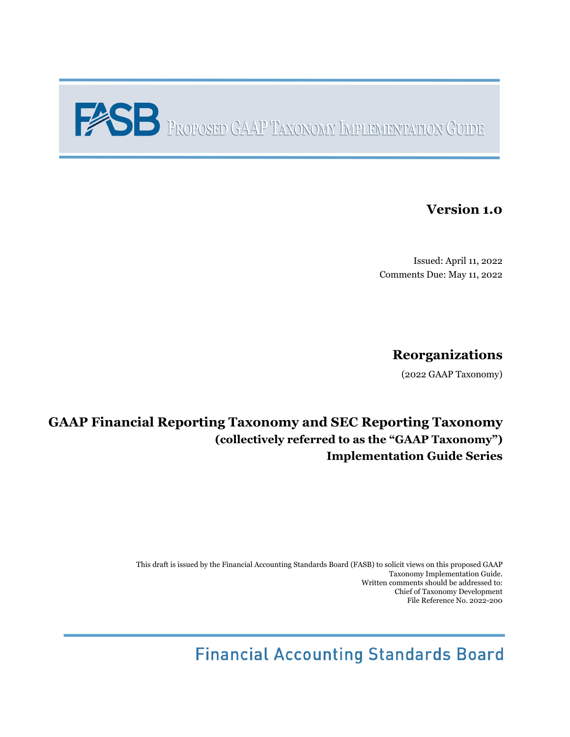# PROPOSED GAAP TAXONOMY IMPLEMENTATION GUIDE

# **Version 1.0**

Issued: April 11, 2022 Comments Due: May 11, 2022

# **Reorganizations**

(2022 GAAP Taxonomy)

# **GAAP Financial Reporting Taxonomy and SEC Reporting Taxonomy (collectively referred to as the "GAAP Taxonomy") Implementation Guide Series**

This draft is issued by the Financial Accounting Standards Board (FASB) to solicit views on this proposed GAAP Taxonomy Implementation Guide. Written comments should be addressed to: Chief of Taxonomy Development File Reference No. 2022-200

**Financial Accounting Standards Board**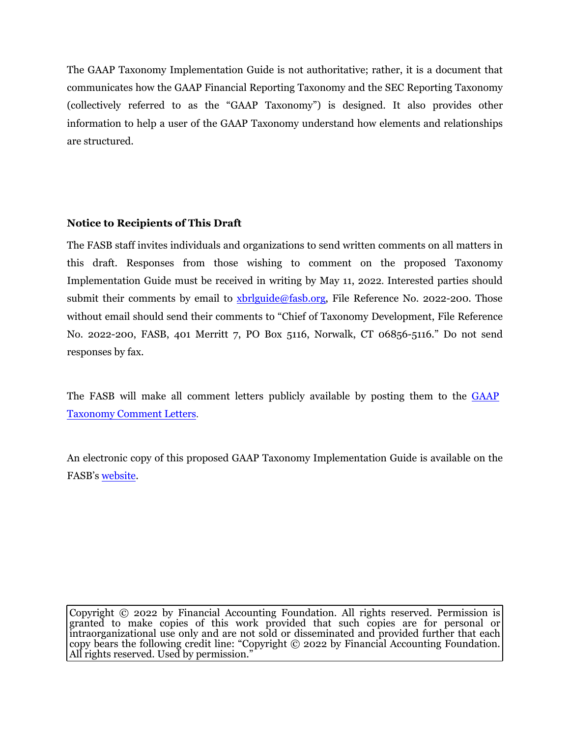The GAAP Taxonomy Implementation Guide is not authoritative; rather, it is a document that communicates how the GAAP Financial Reporting Taxonomy and the SEC Reporting Taxonomy (collectively referred to as the "GAAP Taxonomy") is designed. It also provides other information to help a user of the GAAP Taxonomy understand how elements and relationships are structured.

## **Notice to Recipients of This Draft**

The FASB staff invites individuals and organizations to send written comments on all matters in this draft. Responses from those wishing to comment on the proposed Taxonomy Implementation Guide must be received in writing by May 11, 2022. Interested parties should submit their comments by email to [xbrlguide@fasb.org,](mailto:xbrlguide@fasb.org) File Reference No. 2022-200. Those without email should send their comments to "Chief of Taxonomy Development, File Reference No. 2022-200, FASB, 401 Merritt 7, PO Box 5116, Norwalk, CT 06856-5116." Do not send responses by fax.

The FASB will make all comment letters publicly available by posting them to the [GAAP](https://fasb.org/page/PageContent?pageId=/xbrl/commentletters.html) [Taxonomy Comment Letters](https://fasb.org/page/PageContent?pageId=/xbrl/commentletters.html).

An electronic copy of this proposed GAAP Taxonomy Implementation Guide is available on the FASB's [website](https://fasb.org/).

Copyright © 2022 by Financial Accounting Foundation. All rights reserved. Permission is granted to make copies of this work provided that such copies are for personal or intraorganizational use only and are not sold or disseminated and provided further that each copy bears the following credit line: "Copyright © 2022 by Financial Accounting Foundation. All rights reserved. Used by permission."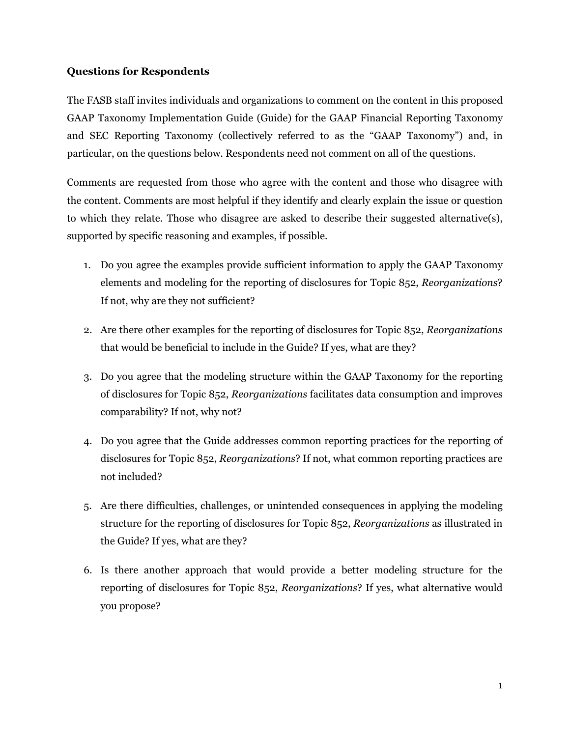#### **Questions for Respondents**

The FASB staff invites individuals and organizations to comment on the content in this proposed GAAP Taxonomy Implementation Guide (Guide) for the GAAP Financial Reporting Taxonomy and SEC Reporting Taxonomy (collectively referred to as the "GAAP Taxonomy") and, in particular, on the questions below. Respondents need not comment on all of the questions.

Comments are requested from those who agree with the content and those who disagree with the content. Comments are most helpful if they identify and clearly explain the issue or question to which they relate. Those who disagree are asked to describe their suggested alternative(s), supported by specific reasoning and examples, if possible.

- 1. Do you agree the examples provide sufficient information to apply the GAAP Taxonomy elements and modeling for the reporting of disclosures for Topic 852, *Reorganizations*? If not, why are they not sufficient?
- 2. Are there other examples for the reporting of disclosures for Topic 852, *Reorganizations* that would be beneficial to include in the Guide? If yes, what are they?
- 3. Do you agree that the modeling structure within the GAAP Taxonomy for the reporting of disclosures for Topic 852, *Reorganizations* facilitates data consumption and improves comparability? If not, why not?
- 4. Do you agree that the Guide addresses common reporting practices for the reporting of disclosures for Topic 852, *Reorganizations*? If not, what common reporting practices are not included?
- 5. Are there difficulties, challenges, or unintended consequences in applying the modeling structure for the reporting of disclosures for Topic 852, *Reorganizations* as illustrated in the Guide? If yes, what are they?
- 6. Is there another approach that would provide a better modeling structure for the reporting of disclosures for Topic 852, *Reorganizations*? If yes, what alternative would you propose?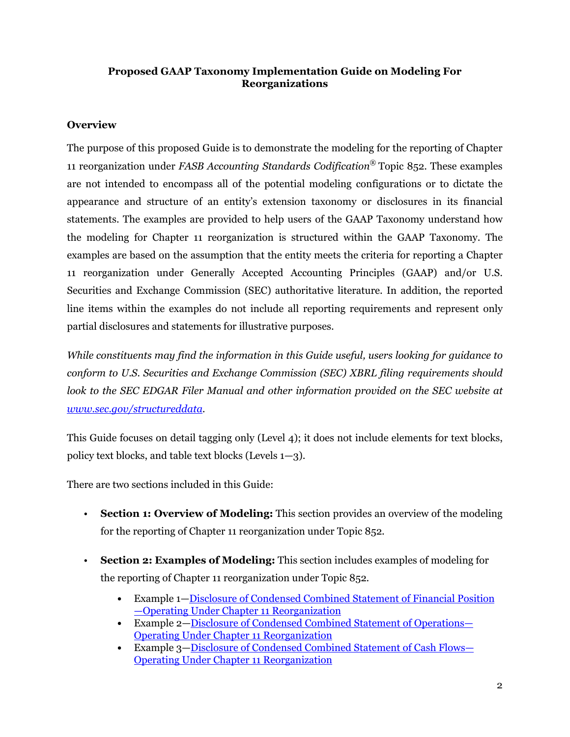## **Proposed GAAP Taxonomy Implementation Guide on Modeling For Reorganizations**

# **Overview**

The purpose of this proposed Guide is to demonstrate the modeling for the reporting of Chapter 11 reorganization under *FASB Accounting Standards Codification®* Topic 852. These examples are not intended to encompass all of the potential modeling configurations or to dictate the appearance and structure of an entity's extension taxonomy or disclosures in its financial statements. The examples are provided to help users of the GAAP Taxonomy understand how the modeling for Chapter 11 reorganization is structured within the GAAP Taxonomy. The examples are based on the assumption that the entity meets the criteria for reporting a Chapter 11 reorganization under Generally Accepted Accounting Principles (GAAP) and/or U.S. Securities and Exchange Commission (SEC) authoritative literature. In addition, the reported line items within the examples do not include all reporting requirements and represent only partial disclosures and statements for illustrative purposes.

*While constituents may find the information in this Guide useful, users looking for guidance to conform to U.S. Securities and Exchange Commission (SEC) XBRL filing requirements should*  look to the SEC EDGAR Filer Manual and other information provided on the SEC website at *[www.sec.gov/structureddata.](https://www.sec.gov/structureddata)*

This Guide focuses on detail tagging only (Level 4); it does not include elements for text blocks, policy text blocks, and table text blocks (Levels 1—3).

There are two sections included in this Guide:

- **Section 1: Overview of Modeling:** This section provides an overview of the modeling for the reporting of Chapter 11 reorganization under Topic 852.
- **Section 2: Examples of Modeling:** This section includes examples of modeling for the reporting of Chapter 11 reorganization under Topic 852.
	- **•** Example 1[—Disclosure of Condensed Combined Statement of Financial Position](#page-9-0) [—Operating Under Chapter 11 Reorganization](#page-9-0)
	- **•** Example 2—[Disclosure of Condensed Combined Statement of Operations—](#page-16-0) [Operating Under Chapter 11 Reorganization](#page-16-0)
	- **•** Example 3—[Disclosure of Condensed Combined Statement of Cash Flows—](#page-24-0) [Operating Under Chapter 11 Reorganization](#page-24-0)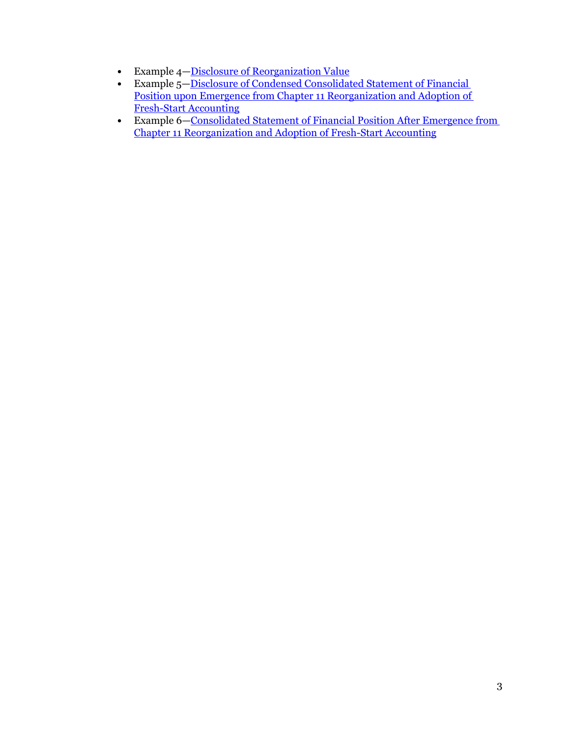- **•** Example 4—[Disclosure of Reorganization Value](#page-34-0)
- Example 5—<u>Disclosure of Condensed Consolidated Statement of Financial</u> [Position upon Emergence from Chapter 11 Reorganization and Adoption of](#page-39-0)  [Fresh-Start Accounting](#page-39-0)
- Example 6—Consolidated Statement of Financial Position After Emergence from [Chapter 11 Reorganization and Adoption of Fresh-Start Accounting](#page-46-0)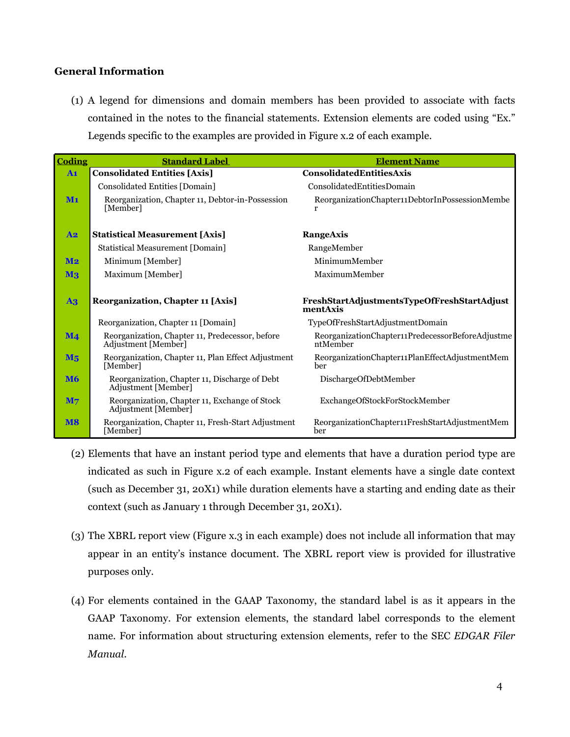#### **General Information**

(1) A legend for dimensions and domain members has been provided to associate with facts contained in the notes to the financial statements. Extension elements are coded using "Ex." Legends specific to the examples are provided in Figure x.2 of each example.

| Coding         | <b>Standard Label</b>                                                  | <b>Element Name</b>                                          |
|----------------|------------------------------------------------------------------------|--------------------------------------------------------------|
| A1             | <b>Consolidated Entities [Axis]</b>                                    | <b>ConsolidatedEntitiesAxis</b>                              |
|                | Consolidated Entities [Domain]                                         | ConsolidatedEntitiesDomain                                   |
| $M1$           | Reorganization, Chapter 11, Debtor-in-Possession<br>[Member]           | ReorganizationChapter11DebtorInPossessionMembe               |
| A2             | <b>Statistical Measurement [Axis]</b>                                  | RangeAxis                                                    |
|                | <b>Statistical Measurement [Domain]</b>                                | RangeMember                                                  |
| $\mathbf{M2}$  | Minimum [Member]                                                       | MinimumMember                                                |
| $\mathbf{M}_3$ | Maximum [Member]                                                       | MaximumMember                                                |
| $\mathbf{A}$ 3 | Reorganization, Chapter 11 [Axis]                                      | FreshStartAdjustmentsTypeOfFreshStartAdjust<br>mentAxis      |
|                | Reorganization, Chapter 11 [Domain]                                    | TypeOfFreshStartAdjustmentDomain                             |
| $\mathbf{M}$ 4 | Reorganization, Chapter 11, Predecessor, before<br>Adjustment [Member] | ReorganizationChapter11PredecessorBeforeAdjustme<br>ntMember |
| $M_5$          | Reorganization, Chapter 11, Plan Effect Adjustment<br>[Member]         | ReorganizationChapter11PlanEffectAdjustmentMem<br>ber        |
| <b>M6</b>      | Reorganization, Chapter 11, Discharge of Debt<br>Adjustment [Member]   | DischargeOfDebtMember                                        |
| M <sub>7</sub> | Reorganization, Chapter 11, Exchange of Stock<br>Adjustment [Member]   | ExchangeOfStockForStockMember                                |
| <b>M8</b>      | Reorganization, Chapter 11, Fresh-Start Adjustment<br>[Member]         | ReorganizationChapter11FreshStartAdjustmentMem<br>ber        |

- (2) Elements that have an instant period type and elements that have a duration period type are indicated as such in Figure x.2 of each example. Instant elements have a single date context (such as December 31, 20X1) while duration elements have a starting and ending date as their context (such as January 1 through December 31, 20X1).
- (3) The XBRL report view (Figure x.3 in each example) does not include all information that may appear in an entity's instance document. The XBRL report view is provided for illustrative purposes only.
- (4) For elements contained in the GAAP Taxonomy, the standard label is as it appears in the GAAP Taxonomy. For extension elements, the standard label corresponds to the element name. For information about structuring extension elements, refer to the SEC *EDGAR Filer Manual*.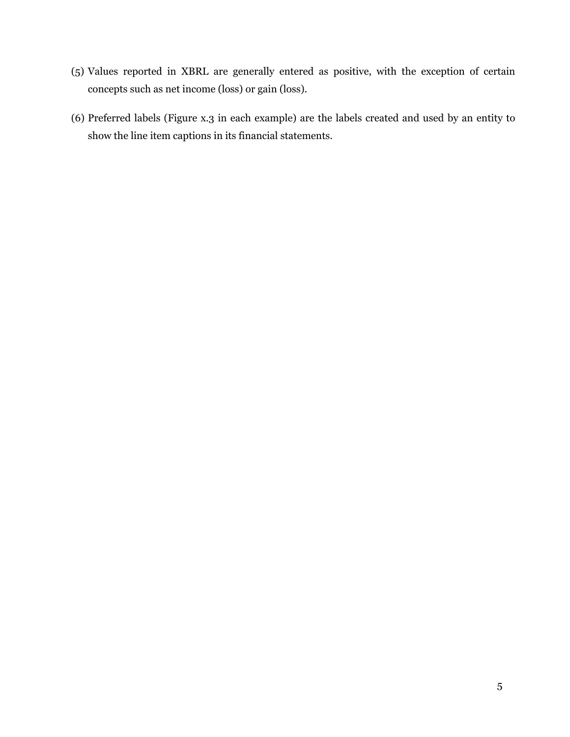- (5) Values reported in XBRL are generally entered as positive, with the exception of certain concepts such as net income (loss) or gain (loss).
- (6) Preferred labels (Figure x.3 in each example) are the labels created and used by an entity to show the line item captions in its financial statements.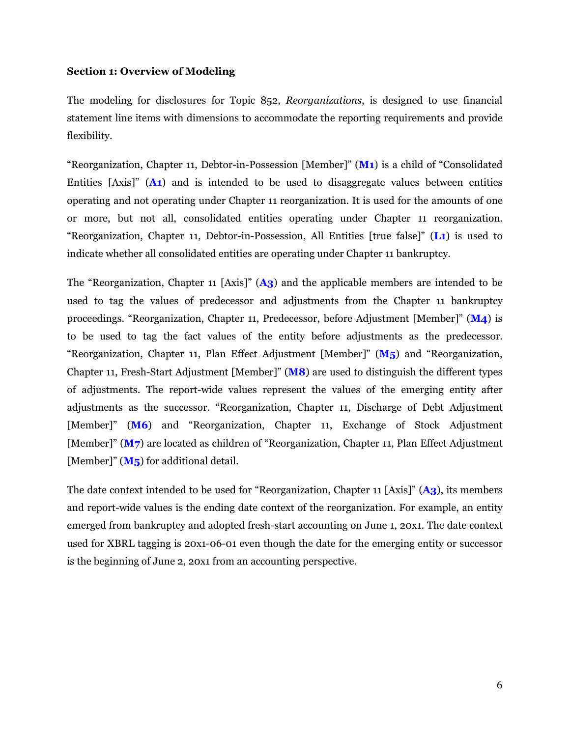#### **Section 1: Overview of Modeling**

The modeling for disclosures for Topic 852, *Reorganizations*, is designed to use financial statement line items with dimensions to accommodate the reporting requirements and provide flexibility.

"Reorganization, Chapter 11, Debtor-in-Possession [Member]" (**M1**) is a child of "Consolidated Entities [Axis]" (**A1**) and is intended to be used to disaggregate values between entities operating and not operating under Chapter 11 reorganization. It is used for the amounts of one or more, but not all, consolidated entities operating under Chapter 11 reorganization. "Reorganization, Chapter 11, Debtor-in-Possession, All Entities [true false]" (**L1**) is used to indicate whether all consolidated entities are operating under Chapter 11 bankruptcy.

The "Reorganization, Chapter 11 [Axis]" (**A3**) and the applicable members are intended to be used to tag the values of predecessor and adjustments from the Chapter 11 bankruptcy proceedings. "Reorganization, Chapter 11, Predecessor, before Adjustment [Member]" (**M4**) is to be used to tag the fact values of the entity before adjustments as the predecessor. "Reorganization, Chapter 11, Plan Effect Adjustment [Member]" (**M5**) and "Reorganization, Chapter 11, Fresh-Start Adjustment [Member]" (**M8**) are used to distinguish the different types of adjustments. The report-wide values represent the values of the emerging entity after adjustments as the successor. "Reorganization, Chapter 11, Discharge of Debt Adjustment [Member]" (**M6**) and "Reorganization, Chapter 11, Exchange of Stock Adjustment [Member]" (**M7**) are located as children of "Reorganization, Chapter 11, Plan Effect Adjustment [Member]" (**M5**) for additional detail.

The date context intended to be used for "Reorganization, Chapter 11 [Axis]" (**A3**), its members and report-wide values is the ending date context of the reorganization. For example, an entity emerged from bankruptcy and adopted fresh-start accounting on June 1, 20x1. The date context used for XBRL tagging is 20x1-06-01 even though the date for the emerging entity or successor is the beginning of June 2, 20x1 from an accounting perspective.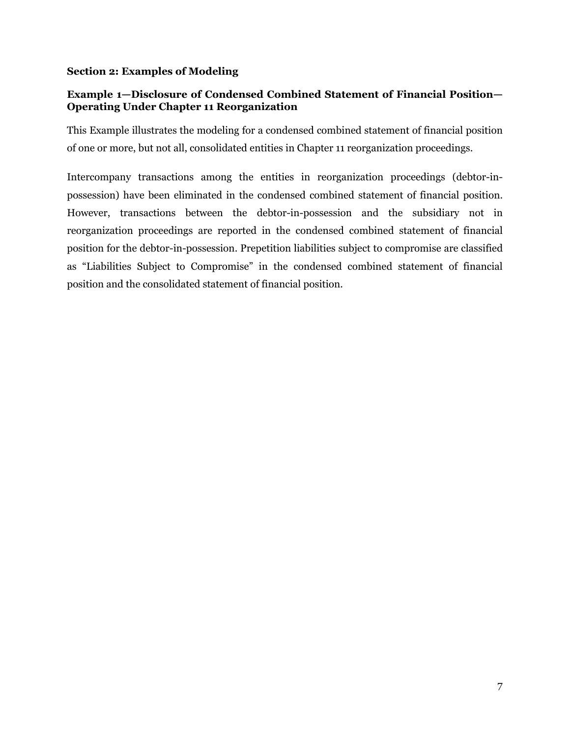#### **Section 2: Examples of Modeling**

# **Example 1—Disclosure of Condensed Combined Statement of Financial Position— Operating Under Chapter 11 Reorganization**

This Example illustrates the modeling for a condensed combined statement of financial position of one or more, but not all, consolidated entities in Chapter 11 reorganization proceedings.

Intercompany transactions among the entities in reorganization proceedings (debtor-inpossession) have been eliminated in the condensed combined statement of financial position. However, transactions between the debtor-in-possession and the subsidiary not in reorganization proceedings are reported in the condensed combined statement of financial position for the debtor-in-possession. Prepetition liabilities subject to compromise are classified as "Liabilities Subject to Compromise" in the condensed combined statement of financial position and the consolidated statement of financial position.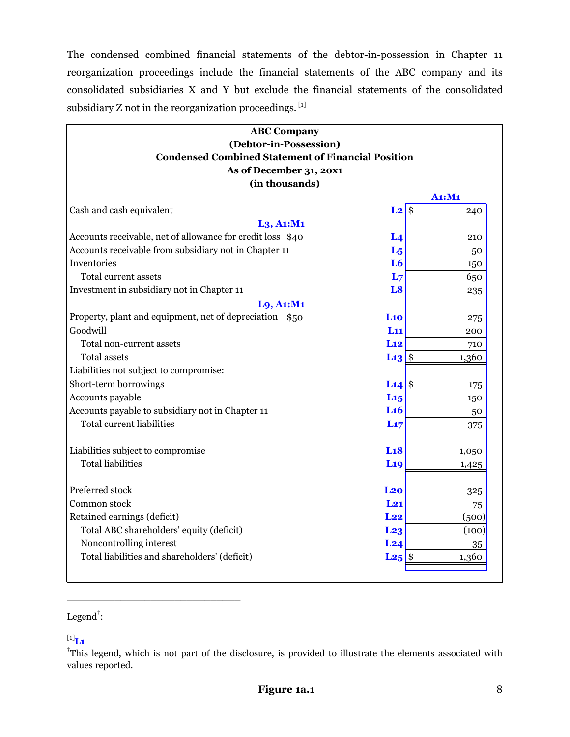<span id="page-9-0"></span>The condensed combined financial statements of the debtor-in-possession in Chapter 11 reorganization proceedings include the financial statements of the ABC company and its consolidated subsidiaries X and Y but exclude the financial statements of the consolidated subsidiary Z not in the reorganization proceedings. [1]

| <b>ABC Company</b><br>(Debtor-in-Possession)               |                                           |        |
|------------------------------------------------------------|-------------------------------------------|--------|
| <b>Condensed Combined Statement of Financial Position</b>  |                                           |        |
| As of December 31, 20x1                                    |                                           |        |
| (in thousands)                                             |                                           |        |
|                                                            |                                           | A1: M1 |
| Cash and cash equivalent                                   | $\overline{\mathbf{S}}$<br>L <sub>2</sub> | 240    |
| $L_3$ , A <sub>1</sub> :M <sub>1</sub>                     |                                           |        |
| Accounts receivable, net of allowance for credit loss \$40 | L <sub>4</sub>                            | 210    |
| Accounts receivable from subsidiary not in Chapter 11      | $L_5$                                     | 50     |
| Inventories                                                | L <sub>6</sub>                            | 150    |
| Total current assets                                       | L <sub>7</sub>                            | 650    |
| Investment in subsidiary not in Chapter 11                 | L <sub>8</sub>                            | 235    |
| L9, A1:M1                                                  |                                           |        |
| Property, plant and equipment, net of depreciation \$50    | L10                                       | 275    |
| Goodwill                                                   | L11                                       | 200    |
| Total non-current assets                                   | Li <sub>2</sub>                           | 710    |
| <b>Total assets</b>                                        | $L13$ \$                                  | 1,360  |
| Liabilities not subject to compromise:                     |                                           |        |
| Short-term borrowings                                      | $L14$ \$                                  | 175    |
| Accounts payable                                           | L <sub>15</sub>                           | 150    |
| Accounts payable to subsidiary not in Chapter 11           | L <sub>16</sub>                           | 50     |
| <b>Total current liabilities</b>                           | L17                                       | 375    |
| Liabilities subject to compromise                          | L18                                       | 1,050  |
| <b>Total liabilities</b>                                   | L <sub>19</sub>                           | 1,425  |
| Preferred stock                                            | L20                                       | 325    |
| Common stock                                               | L21                                       | 75     |
| Retained earnings (deficit)                                | L22                                       | (500)  |
| Total ABC shareholders' equity (deficit)                   | L <sub>23</sub>                           | (100)  |
| Noncontrolling interest                                    | L24                                       | 35     |
| Total liabilities and shareholders' (deficit)              | $L25$  \$                                 | 1,360  |

## Legend $^{\dagger}$ :

\_\_\_\_\_\_\_\_\_\_\_\_\_\_\_\_\_\_\_\_\_\_\_\_\_\_\_\_\_

#### $^{[1]}$ **L1**

<sup>†</sup>This legend, which is not part of the disclosure, is provided to illustrate the elements associated with values reported.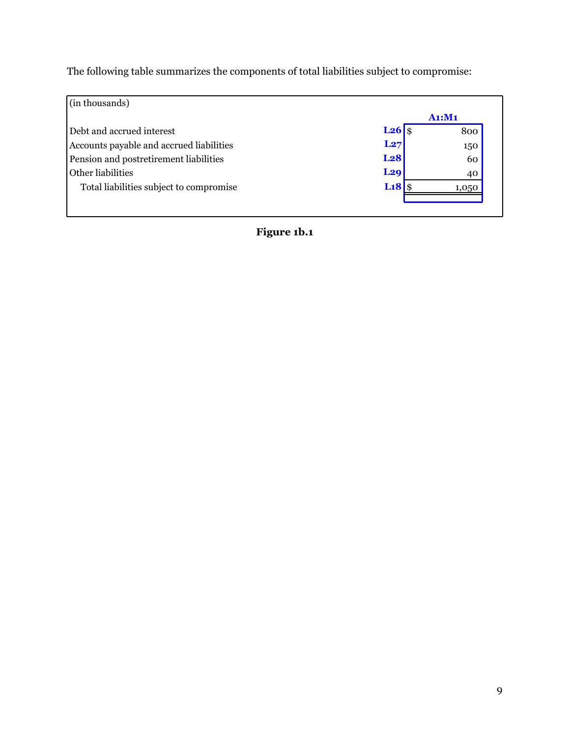The following table summarizes the components of total liabilities subject to compromise:

| (in thousands)                                            |    |
|-----------------------------------------------------------|----|
| A1: M1                                                    |    |
| $L26$ \$<br>Debt and accrued interest<br>800              |    |
| L27<br>Accounts payable and accrued liabilities<br>150    |    |
| L <sub>28</sub><br>Pension and postretirement liabilities | 60 |
| L <sub>29</sub><br>Other liabilities                      | 40 |
| Li8<br>Total liabilities subject to compromise<br>1,050   |    |
|                                                           |    |
|                                                           |    |

**Figure 1b.1**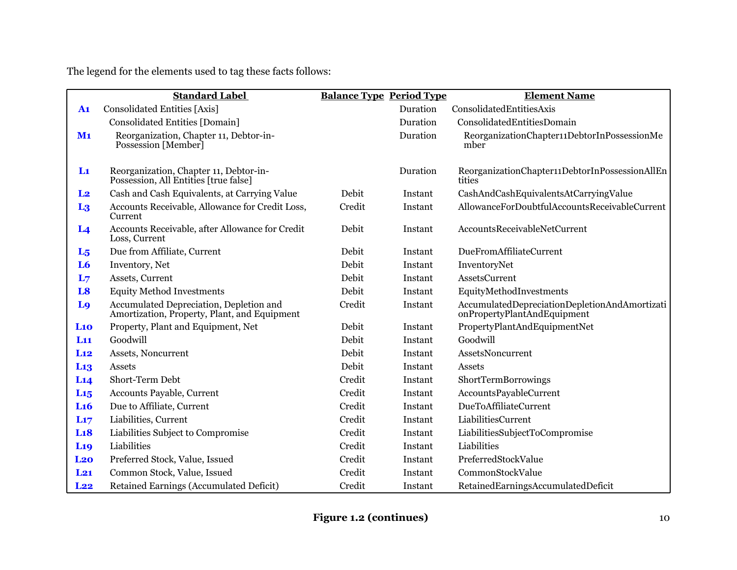The legend for the elements used to tag these facts follows:

|                 | <b>Standard Label</b>                                                                   | <b>Balance Type Period Type</b> |          | <b>Element Name</b>                                                          |
|-----------------|-----------------------------------------------------------------------------------------|---------------------------------|----------|------------------------------------------------------------------------------|
| $\mathbf{A1}$   | <b>Consolidated Entities [Axis]</b>                                                     |                                 | Duration | ConsolidatedEntitiesAxis                                                     |
|                 | <b>Consolidated Entities [Domain]</b>                                                   |                                 | Duration | ConsolidatedEntitiesDomain                                                   |
| M <sub>1</sub>  | Reorganization, Chapter 11, Debtor-in-<br>Possession [Member]                           |                                 | Duration | ReorganizationChapter11DebtorInPossessionMe<br>mber                          |
| $\mathbf{L}$    | Reorganization, Chapter 11, Debtor-in-<br>Possession, All Entities [true false]         |                                 | Duration | ReorganizationChapter11DebtorInPossessionAllEn<br>tities                     |
| L <sub>2</sub>  | Cash and Cash Equivalents, at Carrying Value                                            | Debit                           | Instant  | CashAndCashEquivalentsAtCarryingValue                                        |
| L <sub>3</sub>  | Accounts Receivable, Allowance for Credit Loss,<br>Current                              | Credit                          | Instant  | AllowanceForDoubtfulAccountsReceivableCurrent                                |
| L <sub>4</sub>  | Accounts Receivable, after Allowance for Credit<br>Loss, Current                        | Debit                           | Instant  | AccountsReceivableNetCurrent                                                 |
| $L_5$           | Due from Affiliate, Current                                                             | Debit                           | Instant  | <b>DueFromAffiliateCurrent</b>                                               |
| L <sub>6</sub>  | Inventory, Net                                                                          | Debit                           | Instant  | InventoryNet                                                                 |
| L <sub>7</sub>  | Assets, Current                                                                         | Debit                           | Instant  | <b>AssetsCurrent</b>                                                         |
| L <sub>8</sub>  | <b>Equity Method Investments</b>                                                        | Debit                           | Instant  | EquityMethodInvestments                                                      |
| L <sub>9</sub>  | Accumulated Depreciation, Depletion and<br>Amortization, Property, Plant, and Equipment | Credit                          | Instant  | AccumulatedDepreciationDepletionAndAmortizati<br>onPropertyPlantAndEquipment |
| L10             | Property, Plant and Equipment, Net                                                      | Debit                           | Instant  | PropertyPlantAndEquipmentNet                                                 |
| L11             | Goodwill                                                                                | Debit                           | Instant  | Goodwill                                                                     |
| L12             | Assets, Noncurrent                                                                      | Debit                           | Instant  | AssetsNoncurrent                                                             |
| L <sub>13</sub> | Assets                                                                                  | Debit                           | Instant  | Assets                                                                       |
| L14             | Short-Term Debt                                                                         | Credit                          | Instant  | ShortTermBorrowings                                                          |
| $L_{15}$        | Accounts Payable, Current                                                               | Credit                          | Instant  | AccountsPayableCurrent                                                       |
| L16             | Due to Affiliate, Current                                                               | Credit                          | Instant  | <b>DueToAffiliateCurrent</b>                                                 |
| L17             | Liabilities, Current                                                                    | Credit                          | Instant  | LiabilitiesCurrent                                                           |
| L18             | Liabilities Subject to Compromise                                                       | Credit                          | Instant  | LiabilitiesSubjectToCompromise                                               |
| L <sub>19</sub> | Liabilities                                                                             | Credit                          | Instant  | Liabilities                                                                  |
| L <sub>20</sub> | Preferred Stock, Value, Issued                                                          | Credit                          | Instant  | PreferredStockValue                                                          |
| $L_{21}$        | Common Stock, Value, Issued                                                             | Credit                          | Instant  | CommonStockValue                                                             |
| L22             | Retained Earnings (Accumulated Deficit)                                                 | Credit                          | Instant  | RetainedEarningsAccumulatedDeficit                                           |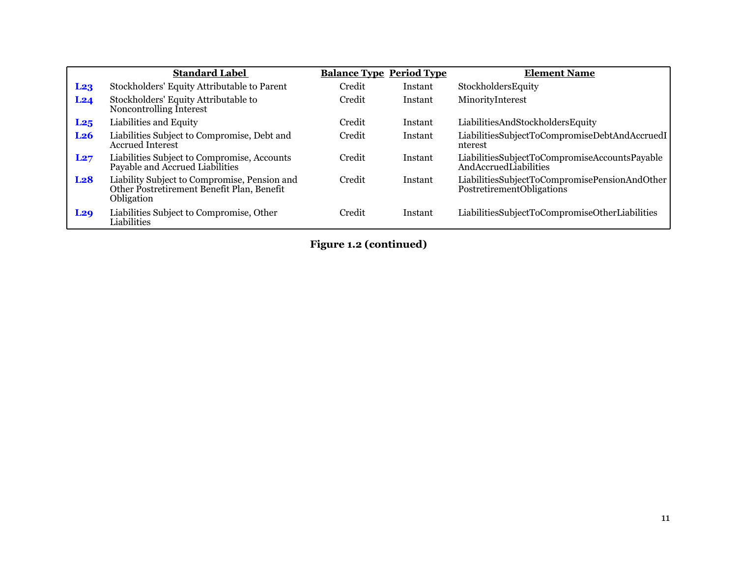|                 | <b>Standard Label</b>                                                                                    | <b>Balance Type Period Type</b> |         | <b>Element Name</b>                                                        |
|-----------------|----------------------------------------------------------------------------------------------------------|---------------------------------|---------|----------------------------------------------------------------------------|
| L <sub>23</sub> | Stockholders' Equity Attributable to Parent                                                              | Credit                          | Instant | StockholdersEquity                                                         |
| L <sub>24</sub> | Stockholders' Equity Attributable to<br>Noncontrolling Interest                                          | Credit                          | Instant | MinorityInterest                                                           |
| L25             | Liabilities and Equity                                                                                   | Credit                          | Instant | LiabilitiesAndStockholdersEquity                                           |
| L <sub>26</sub> | Liabilities Subject to Compromise, Debt and<br><b>Accrued Interest</b>                                   | Credit                          | Instant | LiabilitiesSubjectToCompromiseDebtAndAccruedI<br>nterest                   |
| L27             | Liabilities Subject to Compromise, Accounts<br>Payable and Accrued Liabilities                           | Credit                          | Instant | LiabilitiesSubjectToCompromiseAccountsPayable<br>AndAccruedLiabilities     |
| L <sub>28</sub> | Liability Subject to Compromise, Pension and<br>Other Postretirement Benefit Plan, Benefit<br>Obligation | Credit                          | Instant | LiabilitiesSubjectToCompromisePensionAndOther<br>PostretirementObligations |
| <b>L29</b>      | Liabilities Subject to Compromise, Other<br>Liabilities                                                  | Credit                          | Instant | LiabilitiesSubjectToCompromiseOtherLiabilities                             |

**Figure 1.2 (continued)**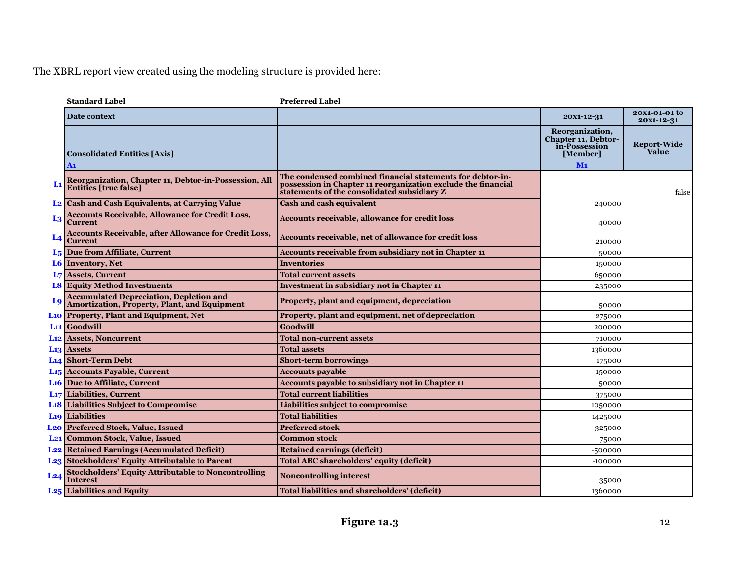|       | <b>Standard Label</b>                                                                                 | <b>Preferred Label</b>                                                                                                                                                     |                                                                                              |                             |
|-------|-------------------------------------------------------------------------------------------------------|----------------------------------------------------------------------------------------------------------------------------------------------------------------------------|----------------------------------------------------------------------------------------------|-----------------------------|
|       | <b>Date context</b>                                                                                   |                                                                                                                                                                            | 20X1-12-31                                                                                   | 20x1-01-01 to<br>20x1-12-31 |
|       | <b>Consolidated Entities [Axis]</b><br>A1                                                             |                                                                                                                                                                            | Reorganization,<br><b>Chapter 11, Debtor-</b><br>in-Possession<br>[Member]<br>M <sub>1</sub> | <b>Report-Wide</b><br>Value |
|       | Reorganization, Chapter 11, Debtor-in-Possession, All<br><b>Entities [true false]</b>                 | The condensed combined financial statements for debtor-in-<br>possession in Chapter 11 reorganization exclude the financial<br>statements of the consolidated subsidiary Z |                                                                                              | false                       |
|       | <b>L2</b> Cash and Cash Equivalents, at Carrying Value                                                | <b>Cash and cash equivalent</b>                                                                                                                                            | 240000                                                                                       |                             |
| $L_3$ | <b>Accounts Receivable, Allowance for Credit Loss,</b><br><b>Current</b>                              | <b>Accounts receivable, allowance for credit loss</b>                                                                                                                      | 40000                                                                                        |                             |
|       | <b>Accounts Receivable, after Allowance for Credit Loss,</b><br><b>Current</b>                        | Accounts receivable, net of allowance for credit loss                                                                                                                      | 210000                                                                                       |                             |
|       | L <sub>5</sub> Due from Affiliate, Current                                                            | Accounts receivable from subsidiary not in Chapter 11                                                                                                                      | 50000                                                                                        |                             |
|       | L6 Inventory, Net                                                                                     | <b>Inventories</b>                                                                                                                                                         | 150000                                                                                       |                             |
|       | L7 Assets, Current                                                                                    | <b>Total current assets</b>                                                                                                                                                | 650000                                                                                       |                             |
|       | <b>L8 Equity Method Investments</b>                                                                   | <b>Investment in subsidiary not in Chapter 11</b>                                                                                                                          | 235000                                                                                       |                             |
| Lq    | <b>Accumulated Depreciation, Depletion and</b><br><b>Amortization, Property, Plant, and Equipment</b> | Property, plant and equipment, depreciation                                                                                                                                | 50000                                                                                        |                             |
|       | <b>L10 Property, Plant and Equipment, Net</b>                                                         | Property, plant and equipment, net of depreciation                                                                                                                         | 275000                                                                                       |                             |
|       | L <sub>11</sub> Goodwill                                                                              | Goodwill                                                                                                                                                                   | 200000                                                                                       |                             |
|       | <b>L12 Assets, Noncurrent</b>                                                                         | Total non-current assets                                                                                                                                                   | 710000                                                                                       |                             |
|       | L <sub>13</sub> Assets                                                                                | <b>Total assets</b>                                                                                                                                                        | 1360000                                                                                      |                             |
|       | L <sub>14</sub> Short-Term Debt                                                                       | <b>Short-term borrowings</b>                                                                                                                                               | 175000                                                                                       |                             |
|       | L <sub>15</sub> Accounts Payable, Current                                                             | <b>Accounts payable</b>                                                                                                                                                    | 150000                                                                                       |                             |
|       | L <sub>16</sub> Due to Affiliate, Current                                                             | Accounts payable to subsidiary not in Chapter 11                                                                                                                           | 50000                                                                                        |                             |
|       | L <sub>17</sub> Liabilities, Current                                                                  | <b>Total current liabilities</b>                                                                                                                                           | 375000                                                                                       |                             |
|       | <b>L18 Liabilities Subject to Compromise</b>                                                          | Liabilities subject to compromise                                                                                                                                          | 1050000                                                                                      |                             |
|       | <b>L19</b> Liabilities                                                                                | <b>Total liabilities</b>                                                                                                                                                   | 1425000                                                                                      |                             |
|       | <b>L20 Preferred Stock, Value, Issued</b>                                                             | <b>Preferred stock</b>                                                                                                                                                     | 325000                                                                                       |                             |
|       | <b>L21</b> Common Stock, Value, Issued                                                                | <b>Common stock</b>                                                                                                                                                        | 75000                                                                                        |                             |
|       | <b>L22</b> Retained Earnings (Accumulated Deficit)                                                    | <b>Retained earnings (deficit)</b>                                                                                                                                         | $-500000$                                                                                    |                             |
|       | L <sub>23</sub> Stockholders' Equity Attributable to Parent                                           | <b>Total ABC shareholders' equity (deficit)</b>                                                                                                                            | $-100000$                                                                                    |                             |
| L24   | <b>Stockholders' Equity Attributable to Noncontrolling</b><br><b>Interest</b>                         | <b>Noncontrolling interest</b>                                                                                                                                             | 35000                                                                                        |                             |
|       | L <sub>25</sub> Liabilities and Equity                                                                | Total liabilities and shareholders' (deficit)                                                                                                                              | 1360000                                                                                      |                             |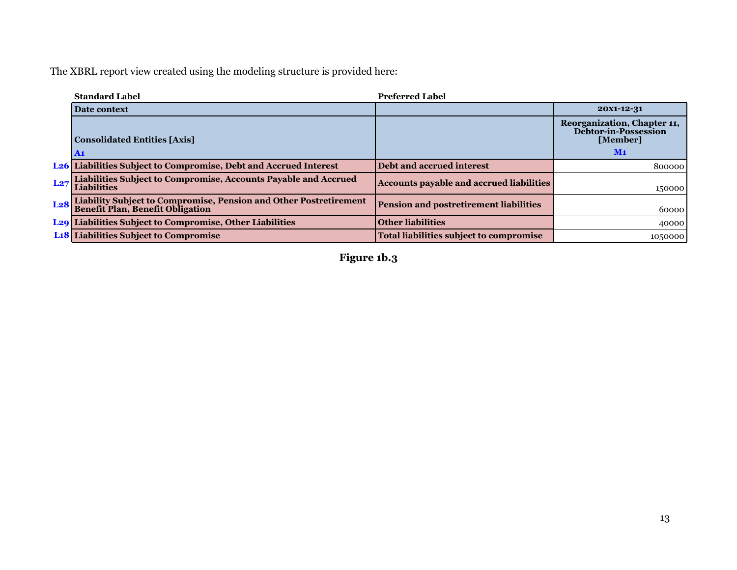|                 | <b>Standard Label</b>                                                                                 | <b>Preferred Label</b>                          |                                                                        |
|-----------------|-------------------------------------------------------------------------------------------------------|-------------------------------------------------|------------------------------------------------------------------------|
|                 | Date context                                                                                          |                                                 | 20X1-12-31                                                             |
|                 | <b>Consolidated Entities [Axis]</b>                                                                   |                                                 | Reorganization, Chapter 11,<br><b>Debtor-in-Possession</b><br>[Member] |
|                 | $\mathbf{A_1}$                                                                                        |                                                 | M <sub>1</sub>                                                         |
|                 | L <sub>26</sub> Liabilities Subject to Compromise, Debt and Accrued Interest                          | Debt and accrued interest                       | 800000                                                                 |
| L27             | Liabilities Subject to Compromise, Accounts Payable and Accrued<br><b>Liabilities</b>                 | <b>Accounts payable and accrued liabilities</b> | 150000                                                                 |
| L <sub>28</sub> | Liability Subject to Compromise, Pension and Other Postretirement<br>Benefit Plan, Benefit Obligation | <b>Pension and postretirement liabilities</b>   | 60000                                                                  |
|                 | <b>L29 Liabilities Subject to Compromise, Other Liabilities</b>                                       | <b>Other liabilities</b>                        | 40000                                                                  |
|                 | L <sub>18</sub> Liabilities Subject to Compromise                                                     | <b>Total liabilities subject to compromise</b>  | 1050000                                                                |

**Figure 1b.3**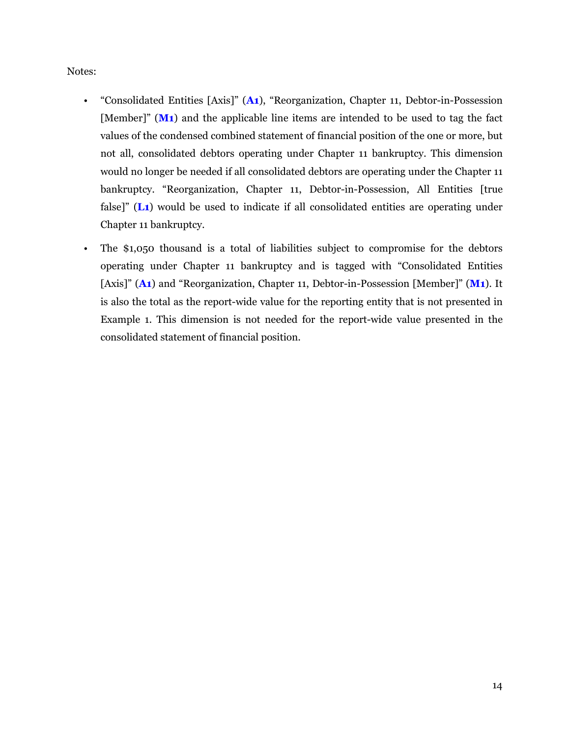Notes:

- "Consolidated Entities [Axis]" (**A1**), "Reorganization, Chapter 11, Debtor-in-Possession [Member]" (**M1**) and the applicable line items are intended to be used to tag the fact values of the condensed combined statement of financial position of the one or more, but not all, consolidated debtors operating under Chapter 11 bankruptcy. This dimension would no longer be needed if all consolidated debtors are operating under the Chapter 11 bankruptcy. "Reorganization, Chapter 11, Debtor-in-Possession, All Entities [true false]" (**L1**) would be used to indicate if all consolidated entities are operating under Chapter 11 bankruptcy.
- The \$1,050 thousand is a total of liabilities subject to compromise for the debtors operating under Chapter 11 bankruptcy and is tagged with "Consolidated Entities [Axis]" (**A1**) and "Reorganization, Chapter 11, Debtor-in-Possession [Member]" (**M1**). It is also the total as the report-wide value for the reporting entity that is not presented in Example 1. This dimension is not needed for the report-wide value presented in the consolidated statement of financial position.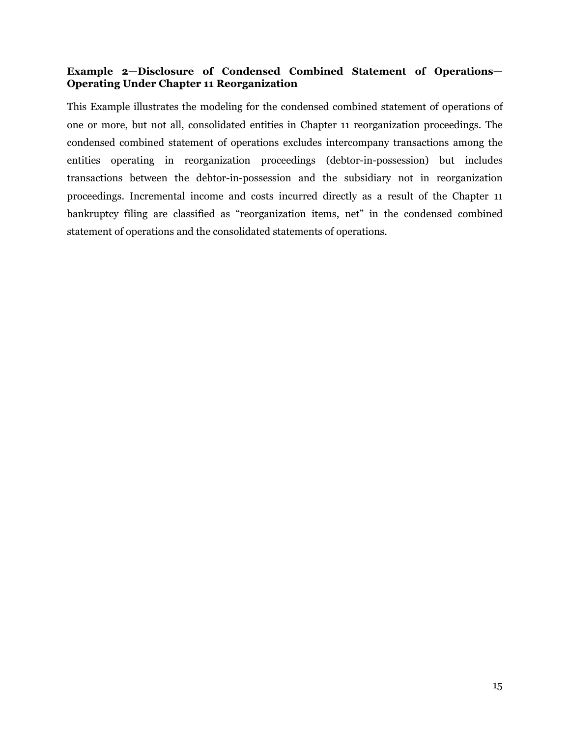# <span id="page-16-0"></span>**Example 2—Disclosure of Condensed Combined Statement of Operations— Operating Under Chapter 11 Reorganization**

This Example illustrates the modeling for the condensed combined statement of operations of one or more, but not all, consolidated entities in Chapter 11 reorganization proceedings. The condensed combined statement of operations excludes intercompany transactions among the entities operating in reorganization proceedings (debtor-in-possession) but includes transactions between the debtor-in-possession and the subsidiary not in reorganization proceedings. Incremental income and costs incurred directly as a result of the Chapter 11 bankruptcy filing are classified as "reorganization items, net" in the condensed combined statement of operations and the consolidated statements of operations.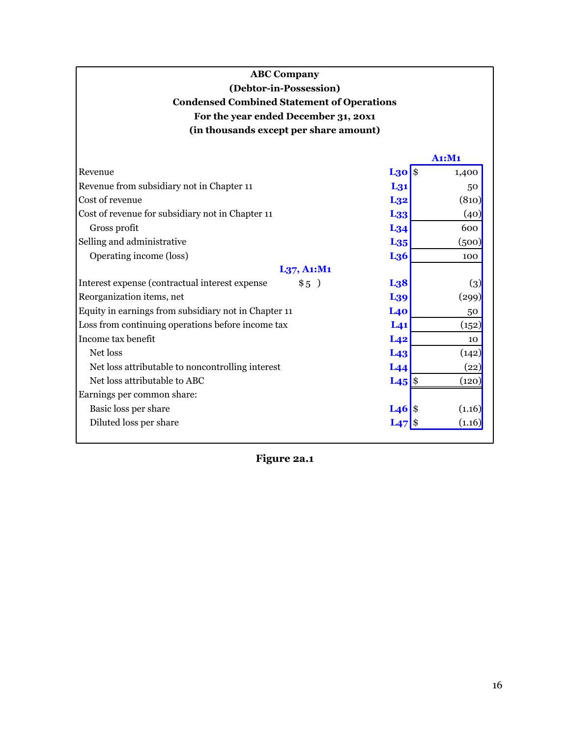# **ABC Company (Debtor-in-Possession) Condensed Combined Statement of Operations For the year ended December 31, 20x1 (in thousands except per share amount)**

|                                                         |                     | A1:M1              |
|---------------------------------------------------------|---------------------|--------------------|
| Revenue                                                 | $L30$ \$            | 1,400              |
| Revenue from subsidiary not in Chapter 11               | L <sub>31</sub>     | 50                 |
| Cost of revenue                                         | L <sub>32</sub>     | (810)              |
| Cost of revenue for subsidiary not in Chapter 11        | L <sub>33</sub>     | (40)               |
| Gross profit                                            | $L_{34}$            | 600                |
| Selling and administrative                              | L <sub>35</sub>     | (500)              |
| Operating income (loss)                                 | L <sub>36</sub>     | 100                |
| L37, A1: M1                                             |                     |                    |
| Interest expense (contractual interest expense)<br>\$5) | L <sub>38</sub>     | $\left( 3\right)$  |
| Reorganization items, net                               | L <sub>39</sub>     | (299)              |
| Equity in earnings from subsidiary not in Chapter 11    | L40                 | 50                 |
| Loss from continuing operations before income tax       | L <sub>41</sub>     | (152)              |
| Income tax benefit                                      | L <sub>42</sub>     | 10                 |
| Net loss                                                | L <sub>43</sub>     | (142)              |
| Net loss attributable to noncontrolling interest        | L <sub>44</sub>     | $\left( 22\right)$ |
| Net loss attributable to ABC                            | $L45$ $\frac{8}{5}$ | (120)              |
| Earnings per common share:                              |                     |                    |
| Basic loss per share                                    | $L46$ \$            | (1.16)             |
| Diluted loss per share                                  | $L_{47}$            | (1.16)             |

**Figure 2a.1**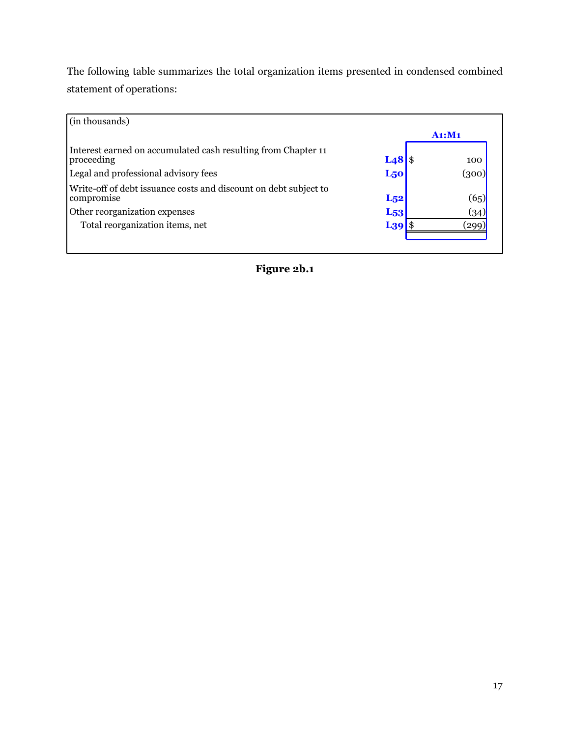The following table summarizes the total organization items presented in condensed combined statement of operations:

| (in thousands)                                                                 |                 |        |
|--------------------------------------------------------------------------------|-----------------|--------|
|                                                                                |                 | A1: M1 |
| Interest earned on accumulated cash resulting from Chapter 11<br>proceeding    | $L48$ \$        | 100    |
| Legal and professional advisory fees                                           | L <sub>50</sub> | (300)  |
| Write-off of debt issuance costs and discount on debt subject to<br>compromise | $L_{52}$        | (65)   |
| Other reorganization expenses                                                  | L <sub>53</sub> | (34)   |
| Total reorganization items, net                                                | $L_39$          | (299)  |

**Figure 2b.1**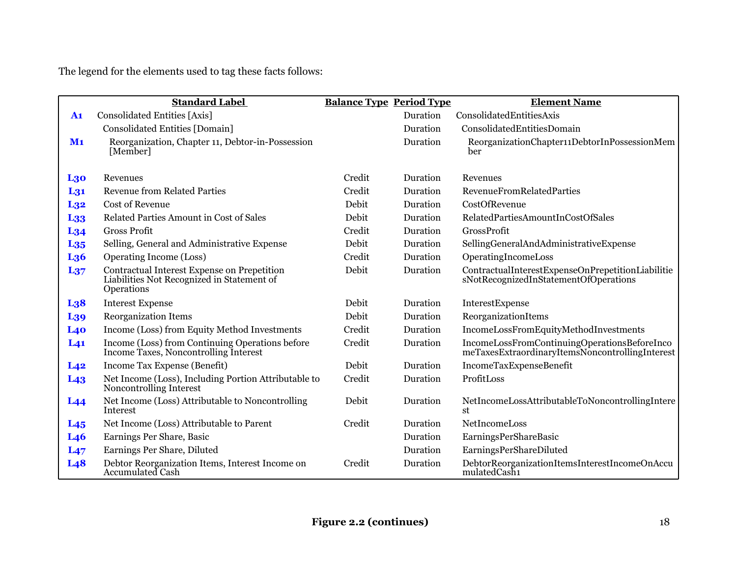The legend for the elements used to tag these facts follows:

|                 | <b>Standard Label</b>                                                                                   | <b>Balance Type Period Type</b> |          | <b>Element Name</b>                                                                             |
|-----------------|---------------------------------------------------------------------------------------------------------|---------------------------------|----------|-------------------------------------------------------------------------------------------------|
| A1              | <b>Consolidated Entities [Axis]</b>                                                                     |                                 | Duration | ConsolidatedEntitiesAxis                                                                        |
|                 | <b>Consolidated Entities [Domain]</b>                                                                   |                                 | Duration | ConsolidatedEntitiesDomain                                                                      |
| M <sub>1</sub>  | Reorganization, Chapter 11, Debtor-in-Possession<br>[Member]                                            |                                 | Duration | ReorganizationChapter11DebtorInPossessionMem<br>ber                                             |
| <b>L30</b>      | Revenues                                                                                                | Credit                          | Duration | Revenues                                                                                        |
| L <sub>31</sub> | <b>Revenue from Related Parties</b>                                                                     | Credit                          | Duration | <b>RevenueFromRelatedParties</b>                                                                |
| L <sub>32</sub> | <b>Cost of Revenue</b>                                                                                  | Debit                           | Duration | CostOfRevenue                                                                                   |
| L <sub>33</sub> | Related Parties Amount in Cost of Sales                                                                 | Debit                           | Duration | RelatedPartiesAmountInCostOfSales                                                               |
| L <sub>34</sub> | <b>Gross Profit</b>                                                                                     | Credit                          | Duration | <b>GrossProfit</b>                                                                              |
| L <sub>35</sub> | Selling, General and Administrative Expense                                                             | Debit                           | Duration | SellingGeneralAndAdministrativeExpense                                                          |
| L <sub>36</sub> | Operating Income (Loss)                                                                                 | Credit                          | Duration | OperatingIncomeLoss                                                                             |
| $L_{37}$        | Contractual Interest Expense on Prepetition<br>Liabilities Not Recognized in Statement of<br>Operations | Debit                           | Duration | ContractualInterestExpenseOnPrepetitionLiabilitie<br>sNotRecognizedInStatementOfOperations      |
| L <sub>38</sub> | <b>Interest Expense</b>                                                                                 | Debit                           | Duration | InterestExpense                                                                                 |
| L <sub>39</sub> | <b>Reorganization Items</b>                                                                             | Debit                           | Duration | ReorganizationItems                                                                             |
| L40             | Income (Loss) from Equity Method Investments                                                            | Credit                          | Duration | IncomeLossFromEquityMethodInvestments                                                           |
| L <sub>41</sub> | Income (Loss) from Continuing Operations before<br>Income Taxes, Noncontrolling Interest                | Credit                          | Duration | IncomeLossFromContinuingOperationsBeforeInco<br>meTaxesExtraordinaryItemsNoncontrollingInterest |
| L42             | Income Tax Expense (Benefit)                                                                            | Debit                           | Duration | IncomeTaxExpenseBenefit                                                                         |
| L <sub>43</sub> | Net Income (Loss), Including Portion Attributable to<br>Noncontrolling Interest                         | Credit                          | Duration | ProfitLoss                                                                                      |
| L44             | Net Income (Loss) Attributable to Noncontrolling<br>Interest                                            | Debit                           | Duration | NetIncomeLossAttributableToNoncontrollingIntere<br>st                                           |
| $L_{45}$        | Net Income (Loss) Attributable to Parent                                                                | Credit                          | Duration | NetIncomeLoss                                                                                   |
| L <sub>46</sub> | Earnings Per Share, Basic                                                                               |                                 | Duration | EarningsPerShareBasic                                                                           |
| L47             | Earnings Per Share, Diluted                                                                             |                                 | Duration | EarningsPerShareDiluted                                                                         |
| L <sub>48</sub> | Debtor Reorganization Items, Interest Income on<br>Accumulated Cash                                     | Credit                          | Duration | DebtorReorganizationItemsInterestIncomeOnAccu<br>mulatedCash1                                   |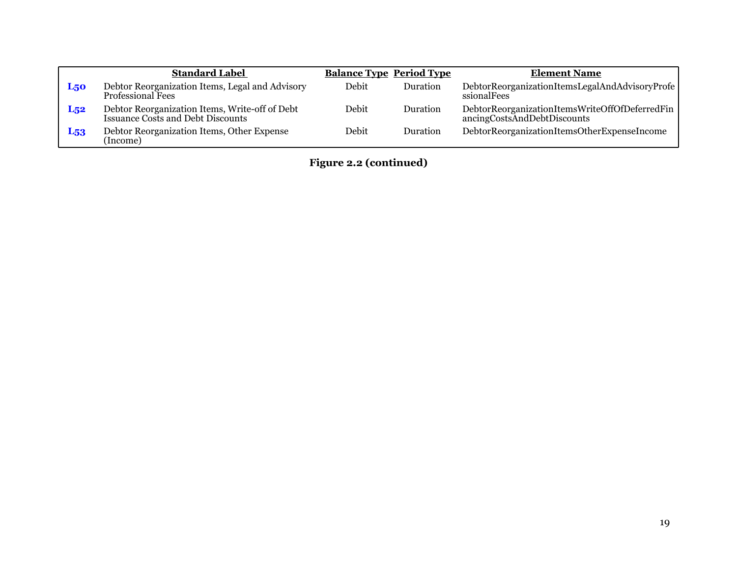|            | <b>Standard Label</b>                                                                      |       | <b>Balance Type Period Type</b> | <b>Element Name</b>                                                           |
|------------|--------------------------------------------------------------------------------------------|-------|---------------------------------|-------------------------------------------------------------------------------|
| <b>L50</b> | Debtor Reorganization Items, Legal and Advisory<br><b>Professional Fees</b>                | Debit | Duration                        | DebtorReorganizationItemsLegalAndAdvisoryProfe<br>ssionalFees                 |
| $L_{52}$   | Debtor Reorganization Items, Write-off of Debt<br><b>Issuance Costs and Debt Discounts</b> | Debit | Duration                        | DebtorReorganizationItemsWriteOffOfDeferredFin<br>ancingCostsAndDebtDiscounts |
| $L_{53}$   | Debtor Reorganization Items, Other Expense<br>(Income)                                     | Debit | Duration                        | DebtorReorganizationItemsOtherExpenseIncome                                   |

**Figure 2.2 (continued)**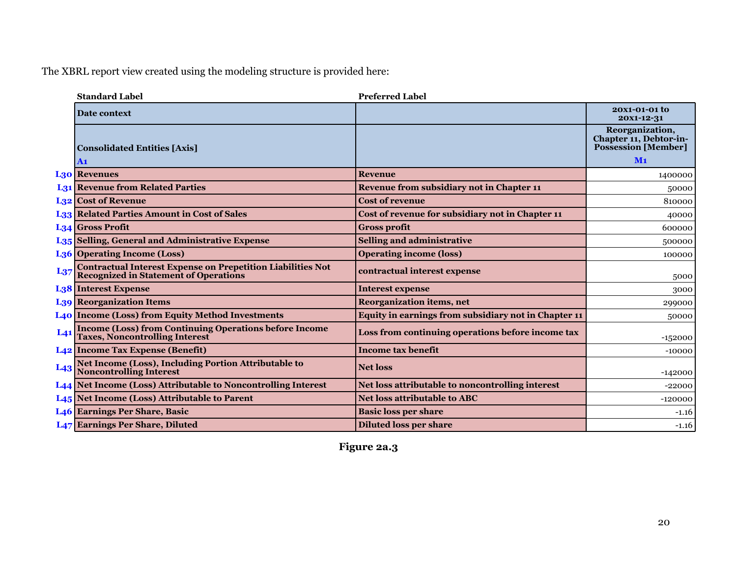|                 | <b>Standard Label</b>                                                                                        | <b>Preferred Label</b>                               |                                                                         |
|-----------------|--------------------------------------------------------------------------------------------------------------|------------------------------------------------------|-------------------------------------------------------------------------|
|                 | Date context                                                                                                 |                                                      | 20X1-01-01 to<br>20X1-12-31                                             |
|                 | <b>Consolidated Entities [Axis]</b>                                                                          |                                                      | Reorganization,<br>Chapter 11, Debtor-in-<br><b>Possession [Member]</b> |
|                 | A1                                                                                                           |                                                      | M <sub>1</sub>                                                          |
|                 | <b>L30 Revenues</b>                                                                                          | <b>Revenue</b>                                       | 1400000                                                                 |
|                 | <b>L31 Revenue from Related Parties</b>                                                                      | Revenue from subsidiary not in Chapter 11            | 50000                                                                   |
|                 | <b>L32</b> Cost of Revenue                                                                                   | <b>Cost of revenue</b>                               | 810000                                                                  |
|                 | <b>L33 Related Parties Amount in Cost of Sales</b>                                                           | Cost of revenue for subsidiary not in Chapter 11     | 40000                                                                   |
|                 | L <sub>34</sub> Gross Profit                                                                                 | <b>Gross profit</b>                                  | 600000                                                                  |
|                 | L <sub>35</sub> Selling, General and Administrative Expense                                                  | <b>Selling and administrative</b>                    | 500000                                                                  |
|                 | L <sub>36</sub> Operating Income (Loss)                                                                      | <b>Operating income (loss)</b>                       | 100000                                                                  |
| $L_{37}$        | <b>Contractual Interest Expense on Prepetition Liabilities Not<br/>Recognized in Statement of Operations</b> | contractual interest expense                         | 5000                                                                    |
|                 | <b>L38 Interest Expense</b>                                                                                  | <b>Interest expense</b>                              | 3000                                                                    |
|                 | <b>L39 Reorganization Items</b>                                                                              | <b>Reorganization items, net</b>                     | 299000                                                                  |
|                 | <b>L40 Income (Loss) from Equity Method Investments</b>                                                      | Equity in earnings from subsidiary not in Chapter 11 | 50000                                                                   |
| L <sub>41</sub> | <b>Income (Loss) from Continuing Operations before Income Taxes, Noncontrolling Interest</b>                 | Loss from continuing operations before income tax    | $-152000$                                                               |
|                 | L <sub>42</sub> Income Tax Expense (Benefit)                                                                 | <b>Income tax benefit</b>                            | $-10000$                                                                |
|                 | L43 Net Income (Loss), Including Portion Attributable to<br>Noncontrolling Interest                          | <b>Net loss</b>                                      | $-142000$                                                               |
|                 | L44 Net Income (Loss) Attributable to Noncontrolling Interest                                                | Net loss attributable to noncontrolling interest     | $-22000$                                                                |
|                 | L <sub>45</sub> Net Income (Loss) Attributable to Parent                                                     | <b>Net loss attributable to ABC</b>                  | $-120000$                                                               |
|                 | <b>L46 Earnings Per Share, Basic</b>                                                                         | <b>Basic loss per share</b>                          | $-1.16$                                                                 |
|                 | <b>L47 Earnings Per Share, Diluted</b>                                                                       | <b>Diluted loss per share</b>                        | $-1.16$                                                                 |

**Figure 2a.3**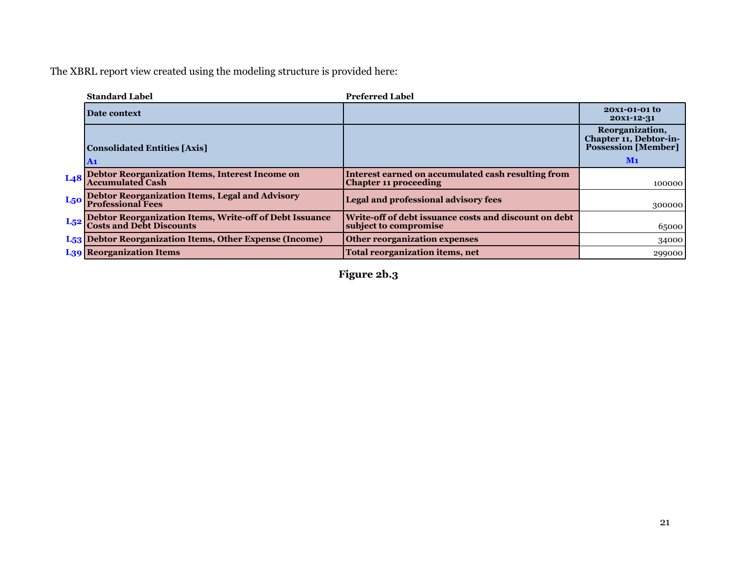|                 | <b>Standard Label</b>                                                                   | <b>Preferred Label</b>                                                             |                                                                                 |
|-----------------|-----------------------------------------------------------------------------------------|------------------------------------------------------------------------------------|---------------------------------------------------------------------------------|
|                 | <b>Date context</b>                                                                     |                                                                                    | 20X1-01-01 to<br>20X1-12-31                                                     |
|                 | <b>Consolidated Entities [Axis]</b>                                                     |                                                                                    | Reorganization,<br>Chapter 11, Debtor-in-<br><b>Possession [Member]</b><br>$M1$ |
|                 | $\mathbf{A1}$                                                                           |                                                                                    |                                                                                 |
| L <sub>48</sub> | Debtor Reorganization Items, Interest Income on<br>Accumulated Cash                     | Interest earned on accumulated cash resulting from<br><b>Chapter 11 proceeding</b> | 100000                                                                          |
| L <sub>50</sub> | <b>Debtor Reorganization Items, Legal and Advisory<br/>Professional Fees</b>            | Legal and professional advisory fees                                               | 300000                                                                          |
|                 | L52 Debtor Reorganization Items, Write-off of Debt Issuance<br>Costs and Debt Discounts | Write-off of debt issuance costs and discount on debt<br>subject to compromise     | 65000                                                                           |
|                 | L <sub>53</sub> Debtor Reorganization Items, Other Expense (Income)                     | Other reorganization expenses                                                      | 34000                                                                           |
|                 | <b>L39 Reorganization Items</b>                                                         | <b>Total reorganization items, net</b>                                             | 299000                                                                          |

**Figure 2b.3**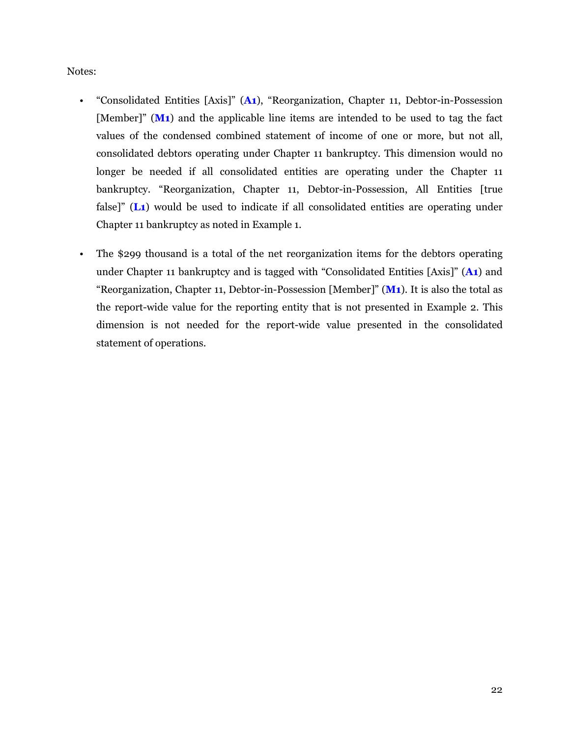Notes:

- "Consolidated Entities [Axis]" (**A1**), "Reorganization, Chapter 11, Debtor-in-Possession [Member]" (**M1**) and the applicable line items are intended to be used to tag the fact values of the condensed combined statement of income of one or more, but not all, consolidated debtors operating under Chapter 11 bankruptcy. This dimension would no longer be needed if all consolidated entities are operating under the Chapter 11 bankruptcy. "Reorganization, Chapter 11, Debtor-in-Possession, All Entities [true false]" (**L1**) would be used to indicate if all consolidated entities are operating under Chapter 11 bankruptcy as noted in Example 1.
- The \$299 thousand is a total of the net reorganization items for the debtors operating under Chapter 11 bankruptcy and is tagged with "Consolidated Entities [Axis]" (**A1**) and "Reorganization, Chapter 11, Debtor-in-Possession [Member]" (**M1**). It is also the total as the report-wide value for the reporting entity that is not presented in Example 2. This dimension is not needed for the report-wide value presented in the consolidated statement of operations.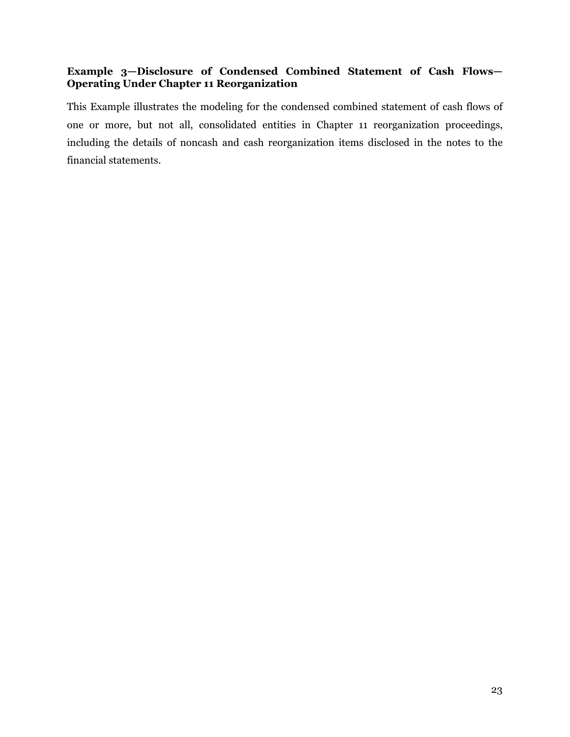# <span id="page-24-0"></span>**Example 3—Disclosure of Condensed Combined Statement of Cash Flows— Operating Under Chapter 11 Reorganization**

This Example illustrates the modeling for the condensed combined statement of cash flows of one or more, but not all, consolidated entities in Chapter 11 reorganization proceedings, including the details of noncash and cash reorganization items disclosed in the notes to the financial statements.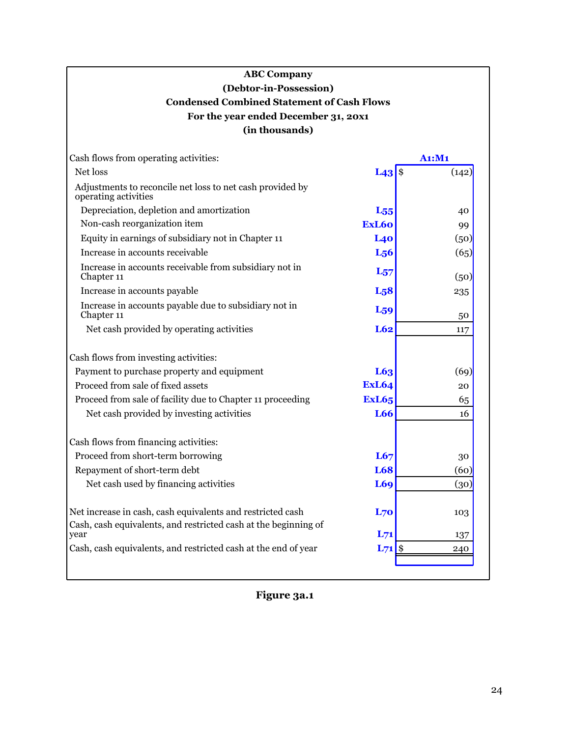# **ABC Company (Debtor-in-Possession) Condensed Combined Statement of Cash Flows For the year ended December 31, 20x1 (in thousands)**

| Cash flows from operating activities:                                                                                                 |                   | A1:M1      |
|---------------------------------------------------------------------------------------------------------------------------------------|-------------------|------------|
| Net loss                                                                                                                              | $L43 $ \$         | (142)      |
| Adjustments to reconcile net loss to net cash provided by<br>operating activities                                                     |                   |            |
| Depreciation, depletion and amortization                                                                                              | $L_{55}$          | 40         |
| Non-cash reorganization item                                                                                                          | ExL <sub>60</sub> | 99         |
| Equity in earnings of subsidiary not in Chapter 11                                                                                    | L40               | (50)       |
| Increase in accounts receivable                                                                                                       | L <sub>56</sub>   | (65)       |
| Increase in accounts receivable from subsidiary not in<br>Chapter 11                                                                  | $L_{57}$          | (50)       |
| Increase in accounts payable                                                                                                          | L <sub>5</sub> 8  | 235        |
| Increase in accounts payable due to subsidiary not in<br>Chapter 11                                                                   | L <sub>59</sub>   | 50         |
| Net cash provided by operating activities                                                                                             | L62               | 117        |
| Cash flows from investing activities:                                                                                                 |                   |            |
| Payment to purchase property and equipment                                                                                            | L63               | (69)       |
| Proceed from sale of fixed assets                                                                                                     | <b>ExL64</b>      | 20         |
| Proceed from sale of facility due to Chapter 11 proceeding                                                                            | <b>ExL65</b>      | 65         |
| Net cash provided by investing activities                                                                                             | L66               | 16         |
| Cash flows from financing activities:                                                                                                 |                   |            |
| Proceed from short-term borrowing                                                                                                     | L67               | 30         |
| Repayment of short-term debt                                                                                                          | <b>L68</b>        | (60)       |
| Net cash used by financing activities                                                                                                 | <b>L69</b>        | (30)       |
| Net increase in cash, cash equivalents and restricted cash<br>Cash, cash equivalents, and restricted cash at the beginning of<br>vear | L70<br>$L_{71}$   | 103<br>137 |
| Cash, cash equivalents, and restricted cash at the end of year                                                                        | $L71$ \$          | 240        |
|                                                                                                                                       |                   |            |

**Figure 3a.1**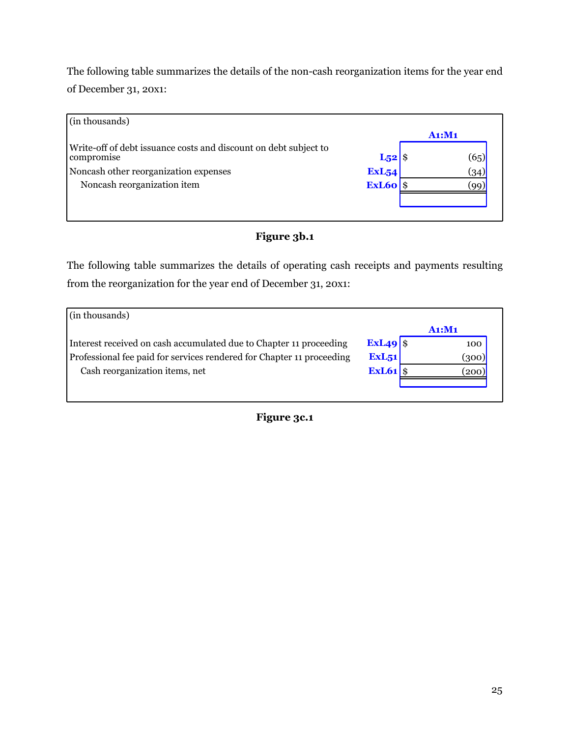The following table summarizes the details of the non-cash reorganization items for the year end of December 31, 20x1:

|  | (65)                                                              |
|--|-------------------------------------------------------------------|
|  | (34)                                                              |
|  | $\left(90\right)$                                                 |
|  |                                                                   |
|  | A1: M1<br>$L_{52}$ \$<br>ExL <sub>54</sub><br>$\textbf{ExL60}$ \$ |

# **Figure 3b.1**

The following table summarizes the details of operating cash receipts and payments resulting from the reorganization for the year end of December 31, 20x1:

| (in thousands)                                                        |                     |        |
|-----------------------------------------------------------------------|---------------------|--------|
|                                                                       |                     | A1: M1 |
| Interest received on cash accumulated due to Chapter 11 proceeding    | $ExL49$ \$          | 100    |
| Professional fee paid for services rendered for Chapter 11 proceeding | ExL <sub>51</sub>   | (300)  |
| Cash reorganization items, net                                        | $\textbf{ExL61}$ \$ | 200)   |
|                                                                       |                     |        |
|                                                                       |                     |        |

**Figure 3c.1**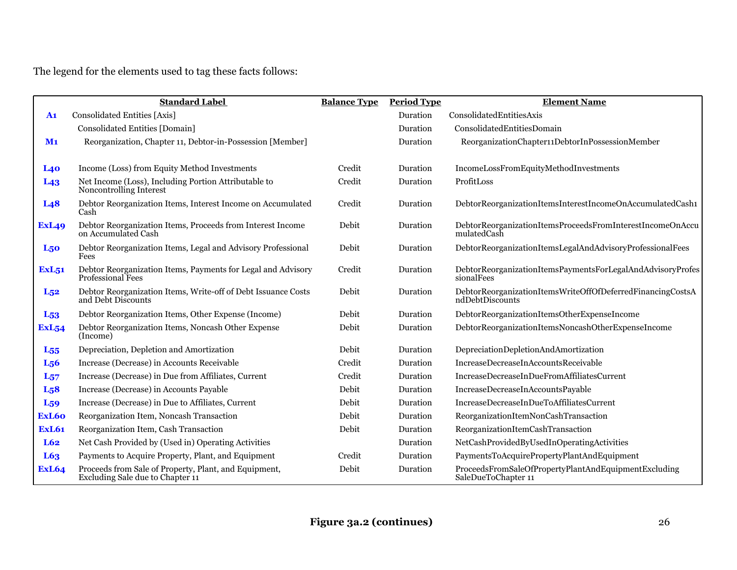The legend for the elements used to tag these facts follows:

|                  | <b>Standard Label</b>                                                                     | <b>Balance Type</b> | <b>Period Type</b> | <b>Element Name</b>                                                           |
|------------------|-------------------------------------------------------------------------------------------|---------------------|--------------------|-------------------------------------------------------------------------------|
| A <sub>1</sub>   | Consolidated Entities [Axis]                                                              |                     | Duration           | ConsolidatedEntitiesAxis                                                      |
|                  | Consolidated Entities [Domain]                                                            |                     | Duration           | ConsolidatedEntitiesDomain                                                    |
| M <sub>1</sub>   | Reorganization, Chapter 11, Debtor-in-Possession [Member]                                 |                     | Duration           | ReorganizationChapter11DebtorInPossessionMember                               |
|                  |                                                                                           |                     |                    |                                                                               |
| L40              | Income (Loss) from Equity Method Investments                                              | Credit              | Duration           | IncomeLossFromEquityMethodInvestments                                         |
| L <sub>43</sub>  | Net Income (Loss), Including Portion Attributable to<br>Noncontrolling Interest           | Credit              | Duration           | ProfitLoss                                                                    |
| L <sub>48</sub>  | Debtor Reorganization Items, Interest Income on Accumulated<br>Cash                       | Credit              | Duration           | DebtorReorganizationItemsInterestIncomeOnAccumulatedCash1                     |
| <b>ExL49</b>     | Debtor Reorganization Items, Proceeds from Interest Income<br>on Accumulated Cash         | Debit               | Duration           | DebtorReorganizationItemsProceedsFromInterestIncomeOnAccu<br>mulatedCash      |
| L <sub>50</sub>  | Debtor Reorganization Items, Legal and Advisory Professional<br>Fees                      | Debit               | Duration           | DebtorReorganizationItemsLegalAndAdvisoryProfessionalFees                     |
| <b>ExL51</b>     | Debtor Reorganization Items, Payments for Legal and Advisory<br>Professional Fees         | Credit              | Duration           | DebtorReorganizationItemsPaymentsForLegalAndAdvisoryProfes<br>sionalFees      |
| $L_{52}$         | Debtor Reorganization Items, Write-off of Debt Issuance Costs<br>and Debt Discounts       | Debit               | Duration           | DebtorReorganizationItemsWriteOffOfDeferredFinancingCostsA<br>ndDebtDiscounts |
| L <sub>53</sub>  | Debtor Reorganization Items, Other Expense (Income)                                       | Debit               | Duration           | DebtorReorganizationItemsOtherExpenseIncome                                   |
| <b>ExL54</b>     | Debtor Reorganization Items, Noncash Other Expense<br>(Income)                            | Debit               | Duration           | DebtorReorganizationItemsNoncashOtherExpenseIncome                            |
| $L_{55}$         | Depreciation, Depletion and Amortization                                                  | Debit               | Duration           | DepreciationDepletionAndAmortization                                          |
| L <sub>56</sub>  | Increase (Decrease) in Accounts Receivable                                                | Credit              | Duration           | IncreaseDecreaseInAccountsReceivable                                          |
| $L_{57}$         | Increase (Decrease) in Due from Affiliates, Current                                       | Credit              | Duration           | IncreaseDecreaseInDueFromAffiliatesCurrent                                    |
| L <sub>5</sub> 8 | Increase (Decrease) in Accounts Payable                                                   | Debit               | Duration           | IncreaseDecreaseInAccountsPayable                                             |
| L <sub>59</sub>  | Increase (Decrease) in Due to Affiliates, Current                                         | Debit               | Duration           | IncreaseDecreaseInDueToAffiliatesCurrent                                      |
| ExL60            | Reorganization Item, Noncash Transaction                                                  | Debit               | Duration           | ReorganizationItemNonCashTransaction                                          |
| <b>ExL61</b>     | Reorganization Item, Cash Transaction                                                     | Debit               | Duration           | ReorganizationItemCashTransaction                                             |
| L62              | Net Cash Provided by (Used in) Operating Activities                                       |                     | Duration           | NetCashProvidedByUsedInOperatingActivities                                    |
| L63              | Payments to Acquire Property, Plant, and Equipment                                        | Credit              | Duration           | PaymentsToAcquirePropertyPlantAndEquipment                                    |
| <b>ExL64</b>     | Proceeds from Sale of Property, Plant, and Equipment,<br>Excluding Sale due to Chapter 11 | Debit               | Duration           | ProceedsFromSaleOfPropertyPlantAndEquipmentExcluding<br>SaleDueToChapter 11   |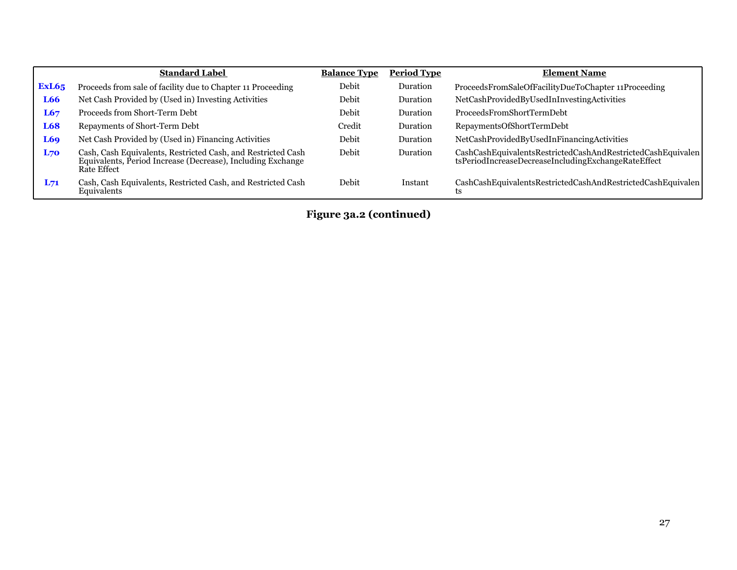|              | <b>Standard Label</b>                                                                                                                             | <b>Balance Type</b> | <b>Period Type</b> | <b>Element Name</b>                                                                                                |
|--------------|---------------------------------------------------------------------------------------------------------------------------------------------------|---------------------|--------------------|--------------------------------------------------------------------------------------------------------------------|
| <b>ExL65</b> | Proceeds from sale of facility due to Chapter 11 Proceeding                                                                                       | Debit               | Duration           | ProceedsFromSaleOfFacilityDueToChapter 11Proceeding                                                                |
| L66          | Net Cash Provided by (Used in) Investing Activities                                                                                               | Debit               | Duration           | NetCashProvidedByUsedInInvestingActivities                                                                         |
| L67          | Proceeds from Short-Term Debt                                                                                                                     | Debit               | Duration           | ProceedsFromShortTermDebt                                                                                          |
| L68          | Repayments of Short-Term Debt                                                                                                                     | Credit              | Duration           | RepaymentsOfShortTermDebt                                                                                          |
| L69          | Net Cash Provided by (Used in) Financing Activities                                                                                               | Debit               | Duration           | NetCashProvidedByUsedInFinancingActivities                                                                         |
| L70          | Cash, Cash Equivalents, Restricted Cash, and Restricted Cash<br>Equivalents, Period Increase (Decrease), Including Exchange<br><b>Rate Effect</b> | Debit               | Duration           | CashCashEquivalentsRestrictedCashAndRestrictedCashEquivalen<br>tsPeriodIncreaseDecreaseIncludingExchangeRateEffect |
| $L_{71}$     | Cash, Cash Equivalents, Restricted Cash, and Restricted Cash<br>Equivalents                                                                       | Debit               | Instant            | CashCashEquivalentsRestrictedCashAndRestrictedCashEquivalen<br>ts                                                  |

**Figure 3a.2 (continued)**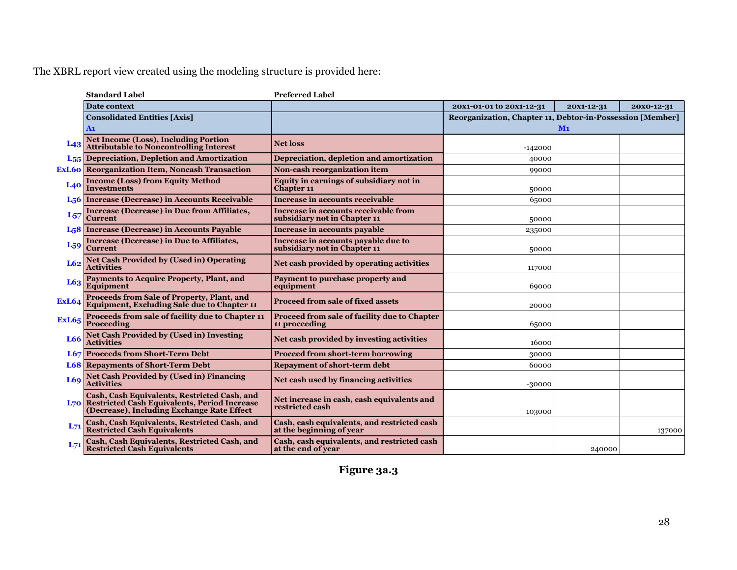|              | <b>Standard Label</b>                                                                                                                          | <b>Preferred Label</b>                                                  |                                                           |            |            |
|--------------|------------------------------------------------------------------------------------------------------------------------------------------------|-------------------------------------------------------------------------|-----------------------------------------------------------|------------|------------|
|              | <b>Date context</b>                                                                                                                            |                                                                         | 20X1-01-01 to 20X1-12-31                                  | 20X1-12-31 | 20x0-12-31 |
|              | <b>Consolidated Entities [Axis]</b><br>A <sub>1</sub>                                                                                          |                                                                         | Reorganization, Chapter 11, Debtor-in-Possession [Member] | $M1$       |            |
| $L_{43}$     | <b>Net Income (Loss), Including Portion<br/>Attributable to Noncontrolling Interest</b>                                                        | <b>Net loss</b>                                                         | $-142000$                                                 |            |            |
|              | <b>L55</b> Depreciation, Depletion and Amortization                                                                                            | Depreciation, depletion and amortization                                | 40000                                                     |            |            |
|              | <b>ExL60</b> Reorganization Item, Noncash Transaction                                                                                          | Non-cash reorganization item                                            | 99000                                                     |            |            |
| L40          | <b>Income (Loss) from Equity Method</b><br>Investments                                                                                         | Equity in earnings of subsidiary not in<br><b>Chapter 11</b>            | 50000                                                     |            |            |
|              | L <sub>56</sub> Increase (Decrease) in Accounts Receivable                                                                                     | Increase in accounts receivable                                         | 65000                                                     |            |            |
| $L_{57}$     | <b>Increase (Decrease) in Due from Affiliates,</b><br><b>Current</b>                                                                           | Increase in accounts receivable from<br>subsidiary not in Chapter 11    | 50000                                                     |            |            |
|              | L <sub>5</sub> 8 Increase (Decrease) in Accounts Payable                                                                                       | <b>Increase in accounts payable</b>                                     | 235000                                                    |            |            |
| $L_{59}$     | <b>Increase (Decrease) in Due to Affiliates,</b><br><b>Current</b>                                                                             | Increase in accounts payable due to<br>subsidiary not in Chapter 11     | 50000                                                     |            |            |
| L62          | <b>Net Cash Provided by (Used in) Operating</b><br><b>Activities</b>                                                                           | Net cash provided by operating activities                               | 117000                                                    |            |            |
| L63          | Payments to Acquire Property, Plant, and<br>Equipment                                                                                          | Payment to purchase property and<br>equipment                           | 69000                                                     |            |            |
| <b>ExL64</b> | Proceeds from Sale of Property, Plant, and<br>Equipment, Excluding Sale due to Chapter 11                                                      | <b>Proceed from sale of fixed assets</b>                                | 20000                                                     |            |            |
| <b>ExL65</b> | Proceeds from sale of facility due to Chapter 11<br><b>Proceeding</b>                                                                          | Proceed from sale of facility due to Chapter<br>11 proceeding           | 65000                                                     |            |            |
| $L66$        | <b>Net Cash Provided by (Used in) Investing</b><br><b>Activities</b>                                                                           | Net cash provided by investing activities                               | 16000                                                     |            |            |
|              | <b>L67</b> Proceeds from Short-Term Debt                                                                                                       | <b>Proceed from short-term borrowing</b>                                | 30000                                                     |            |            |
|              | <b>L68</b> Repayments of Short-Term Debt                                                                                                       | <b>Repayment of short-term debt</b>                                     | 60000                                                     |            |            |
| L69          | Net Cash Provided by (Used in) Financing<br>Activities                                                                                         | Net cash used by financing activities                                   | $-30000$                                                  |            |            |
|              | Cash, Cash Equivalents, Restricted Cash, and<br>L70 Restricted Cash Equivalents, Period Increase<br>(Decrease), Including Exchange Rate Effect | Net increase in cash, cash equivalents and<br>restricted cash           | 103000                                                    |            |            |
| $L_{71}$     | Cash, Cash Equivalents, Restricted Cash, and<br><b>Restricted Cash Equivalents</b>                                                             | Cash, cash equivalents, and restricted cash<br>at the beginning of year |                                                           |            | 137000     |
|              | Cash, Cash Equivalents, Restricted Cash, and<br>Restricted Cash Equivalents                                                                    | Cash, cash equivalents, and restricted cash<br>at the end of year       |                                                           | 240000     |            |

**Figure 3a.3**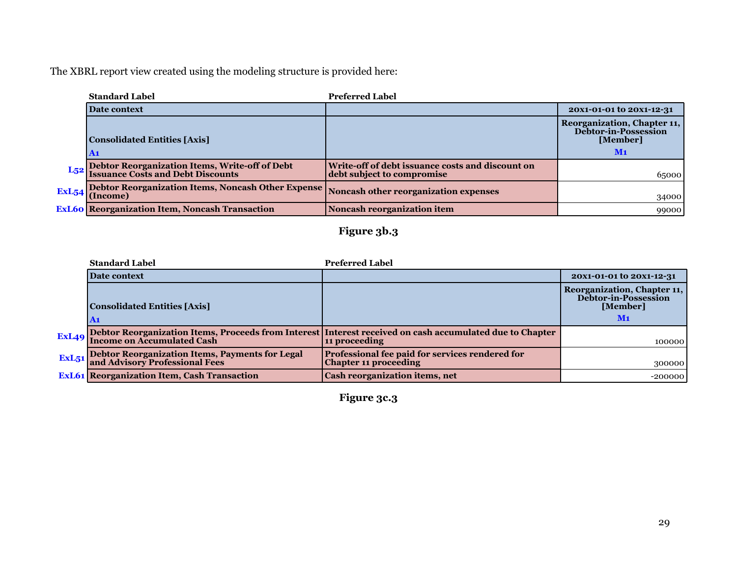| <b>Standard Label</b>                                                                               | <b>Preferred Label</b>                                                         |                                                                             |
|-----------------------------------------------------------------------------------------------------|--------------------------------------------------------------------------------|-----------------------------------------------------------------------------|
| Date context                                                                                        |                                                                                | 20X1-01-01 to 20X1-12-31                                                    |
| Consolidated Entities [Axis]<br>A <sub>1</sub>                                                      |                                                                                | Reorganization, Chapter 11,<br>Debtor-in-Possession<br>[Member]<br>$\bf M1$ |
| L <sub>52</sub> Debtor Reorganization Items, Write-off of Debt<br>Issuance Costs and Debt Discounts | Write-off of debt issuance costs and discount on<br>debt subject to compromise | 65000                                                                       |
| ExL54 Debtor Reorganization Items, Noncash Other Expense Noncash other reorganization expenses      |                                                                                | 34000                                                                       |
| <b>ExL60</b> Reorganization Item, Noncash Transaction                                               | Noncash reorganization item                                                    | 99000                                                                       |

# **Figure 3b.3**

| <b>Standard Label</b>                                                                          | <b>Preferred Label</b>                                                                                                          |                                                                         |
|------------------------------------------------------------------------------------------------|---------------------------------------------------------------------------------------------------------------------------------|-------------------------------------------------------------------------|
| Date context                                                                                   |                                                                                                                                 | 20X1-01-01 to 20X1-12-31                                                |
| <b>Consolidated Entities [Axis]</b>                                                            |                                                                                                                                 | Reorganization, Chapter 11,<br>Debtor-in-Possession<br>[Member]<br>$M1$ |
|                                                                                                | ExL49 Debtor Reorganization Items, Proceeds from Interest Interest received on cash accumulated due to Chapter<br>11 proceeding | 100000                                                                  |
| <b>ExL51</b> Debtor Reorganization Items, Payments for Legal<br>and Advisory Professional Fees | Professional fee paid for services rendered for<br><b>Chapter 11 proceeding</b>                                                 | 300000                                                                  |
| <b>ExL61</b> Reorganization Item, Cash Transaction                                             | <b>Cash reorganization items, net</b>                                                                                           | $-200000$                                                               |

**Figure 3c.3**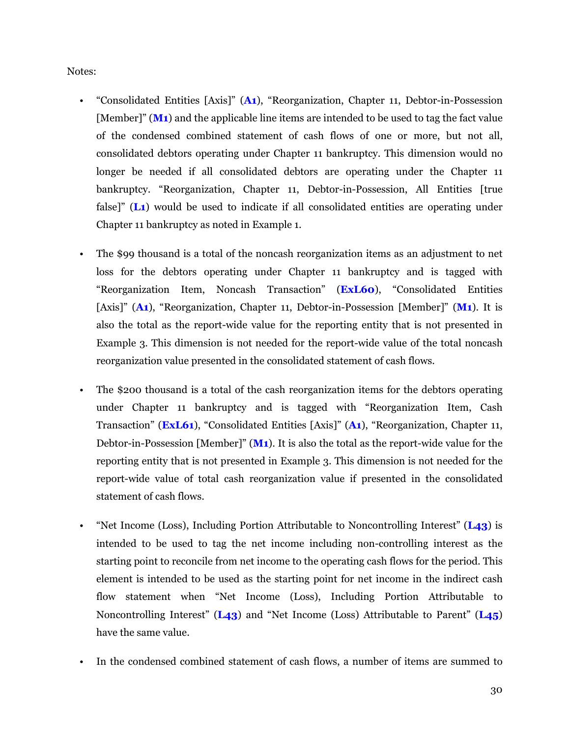Notes:

- "Consolidated Entities [Axis]" (**A1**), "Reorganization, Chapter 11, Debtor-in-Possession [Member]" (M<sub>1</sub>) and the applicable line items are intended to be used to tag the fact value of the condensed combined statement of cash flows of one or more, but not all, consolidated debtors operating under Chapter 11 bankruptcy. This dimension would no longer be needed if all consolidated debtors are operating under the Chapter 11 bankruptcy. "Reorganization, Chapter 11, Debtor-in-Possession, All Entities [true false<sup>"</sup> (L<sub>1</sub>) would be used to indicate if all consolidated entities are operating under Chapter 11 bankruptcy as noted in Example 1.
- The \$99 thousand is a total of the noncash reorganization items as an adjustment to net loss for the debtors operating under Chapter 11 bankruptcy and is tagged with "Reorganization Item, Noncash Transaction" (**ExL60**), "Consolidated Entities [Axis]" (**A1**), "Reorganization, Chapter 11, Debtor-in-Possession [Member]" (**M1**). It is also the total as the report-wide value for the reporting entity that is not presented in Example 3. This dimension is not needed for the report-wide value of the total noncash reorganization value presented in the consolidated statement of cash flows.
- The \$200 thousand is a total of the cash reorganization items for the debtors operating under Chapter 11 bankruptcy and is tagged with "Reorganization Item, Cash Transaction" (**ExL61**), "Consolidated Entities [Axis]" (**A1**), "Reorganization, Chapter 11, Debtor-in-Possession [Member]" (**M1**). It is also the total as the report-wide value for the reporting entity that is not presented in Example 3. This dimension is not needed for the report-wide value of total cash reorganization value if presented in the consolidated statement of cash flows.
- "Net Income (Loss), Including Portion Attributable to Noncontrolling Interest" (**L43**) is intended to be used to tag the net income including non-controlling interest as the starting point to reconcile from net income to the operating cash flows for the period. This element is intended to be used as the starting point for net income in the indirect cash flow statement when "Net Income (Loss), Including Portion Attributable to Noncontrolling Interest" (**L43**) and "Net Income (Loss) Attributable to Parent" (**L45**) have the same value.
- In the condensed combined statement of cash flows, a number of items are summed to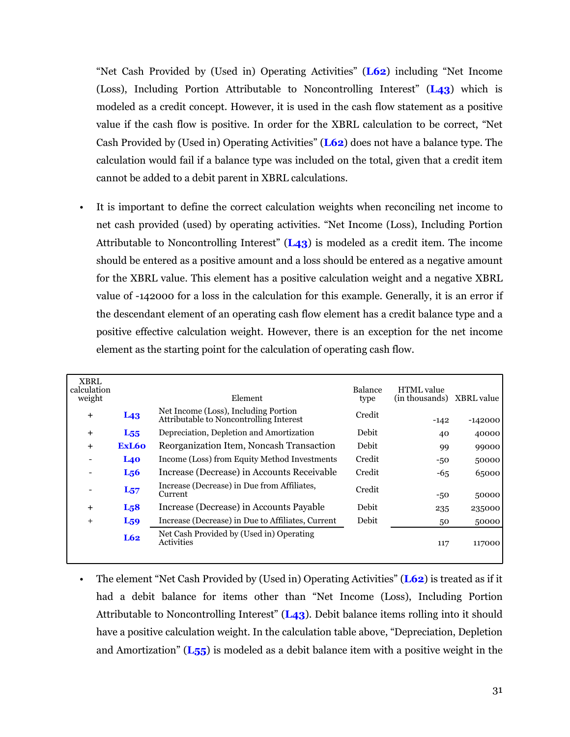"Net Cash Provided by (Used in) Operating Activities" (**L62**) including "Net Income (Loss), Including Portion Attributable to Noncontrolling Interest" (**L43**) which is modeled as a credit concept. However, it is used in the cash flow statement as a positive value if the cash flow is positive. In order for the XBRL calculation to be correct, "Net Cash Provided by (Used in) Operating Activities" (**L62**) does not have a balance type. The calculation would fail if a balance type was included on the total, given that a credit item cannot be added to a debit parent in XBRL calculations.

It is important to define the correct calculation weights when reconciling net income to net cash provided (used) by operating activities. "Net Income (Loss), Including Portion Attributable to Noncontrolling Interest" (**L43**) is modeled as a credit item. The income should be entered as a positive amount and a loss should be entered as a negative amount for the XBRL value. This element has a positive calculation weight and a negative XBRL value of -142000 for a loss in the calculation for this example. Generally, it is an error if the descendant element of an operating cash flow element has a credit balance type and a positive effective calculation weight. However, there is an exception for the net income element as the starting point for the calculation of operating cash flow.

| <b>XBRL</b><br>calculation<br>weight |                  | Element                                                                         | Balance<br>type | <b>HTML</b> value<br>(in thousands) | XBRL value |
|--------------------------------------|------------------|---------------------------------------------------------------------------------|-----------------|-------------------------------------|------------|
| $+$                                  | L <sub>43</sub>  | Net Income (Loss), Including Portion<br>Attributable to Noncontrolling Interest | Credit          | $-142$                              | $-142000$  |
| $+$                                  | $L_{55}$         | Depreciation, Depletion and Amortization                                        | Debit           | 40                                  | 40000      |
| $+$                                  | ExL60            | Reorganization Item, Noncash Transaction                                        | Debit           | 99                                  | 99000      |
|                                      | L40              | Income (Loss) from Equity Method Investments                                    | Credit          | $-50$                               | 50000      |
|                                      | L <sub>56</sub>  | Increase (Decrease) in Accounts Receivable                                      | Credit          | $-65$                               | 65000      |
|                                      | $L_{57}$         | Increase (Decrease) in Due from Affiliates,<br>Current                          | Credit          | $-50$                               | 50000      |
| $\pm$                                | L <sub>5</sub> 8 | Increase (Decrease) in Accounts Payable                                         | Debit           | 235                                 | 235000     |
| $^{+}$                               | $L_{59}$         | Increase (Decrease) in Due to Affiliates, Current                               | Debit           | 50                                  | 50000      |
|                                      | L62              | Net Cash Provided by (Used in) Operating<br>Activities                          |                 | 117                                 | 117000     |

• The element "Net Cash Provided by (Used in) Operating Activities" (**L62**) is treated as if it had a debit balance for items other than "Net Income (Loss), Including Portion Attributable to Noncontrolling Interest" (**L43**). Debit balance items rolling into it should have a positive calculation weight. In the calculation table above, "Depreciation, Depletion and Amortization" (**L55**) is modeled as a debit balance item with a positive weight in the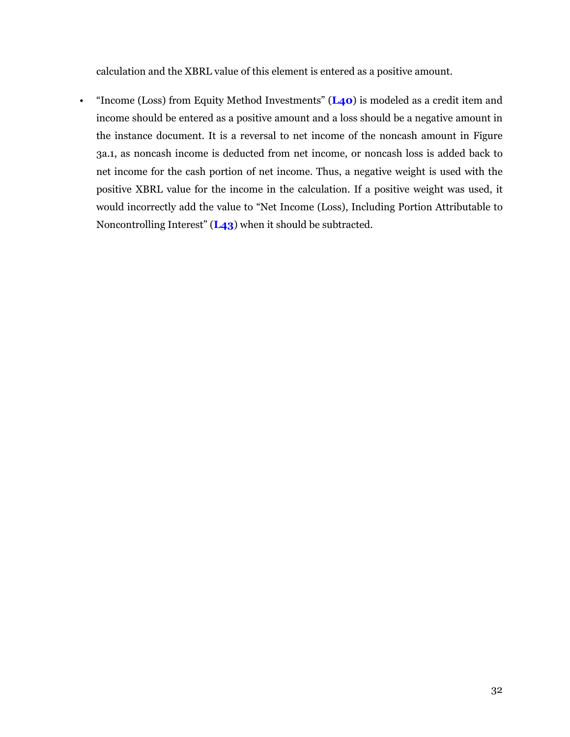calculation and the XBRL value of this element is entered as a positive amount.

• "Income (Loss) from Equity Method Investments" (**L40**) is modeled as a credit item and income should be entered as a positive amount and a loss should be a negative amount in the instance document. It is a reversal to net income of the noncash amount in Figure 3a.1, as noncash income is deducted from net income, or noncash loss is added back to net income for the cash portion of net income. Thus, a negative weight is used with the positive XBRL value for the income in the calculation. If a positive weight was used, it would incorrectly add the value to "Net Income (Loss), Including Portion Attributable to Noncontrolling Interest" (**L43**) when it should be subtracted.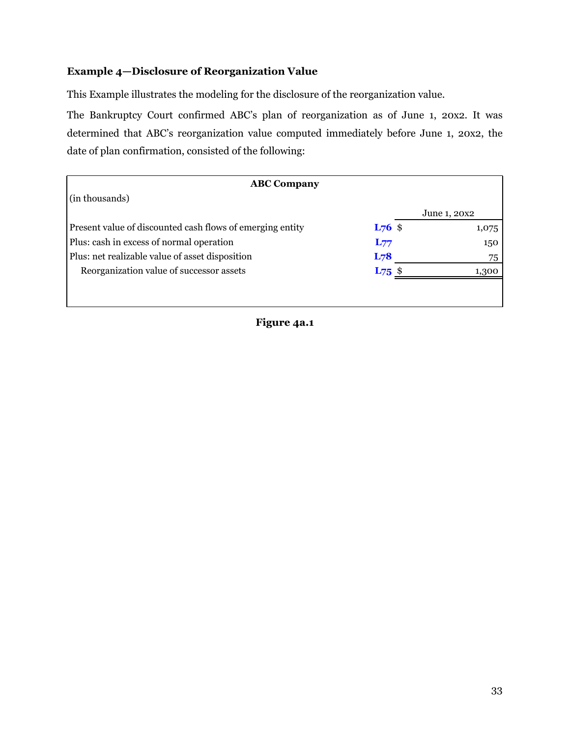# <span id="page-34-0"></span>**Example 4—Disclosure of Reorganization Value**

This Example illustrates the modeling for the disclosure of the reorganization value.

The Bankruptcy Court confirmed ABC's plan of reorganization as of June 1, 20x2. It was determined that ABC's reorganization value computed immediately before June 1, 20x2, the date of plan confirmation, consisted of the following:

| <b>ABC Company</b>                                        |                 |              |
|-----------------------------------------------------------|-----------------|--------------|
| (in thousands)                                            |                 |              |
|                                                           |                 | June 1, 20x2 |
| Present value of discounted cash flows of emerging entity | $L_{76}$ \$     | 1,075        |
| Plus: cash in excess of normal operation                  | $L_{77}$        | 150          |
| Plus: net realizable value of asset disposition           | L <sub>78</sub> | 75           |
| Reorganization value of successor assets                  | $L_{75}$ \$     | 1,300        |
|                                                           |                 |              |
|                                                           |                 |              |

**Figure 4a.1**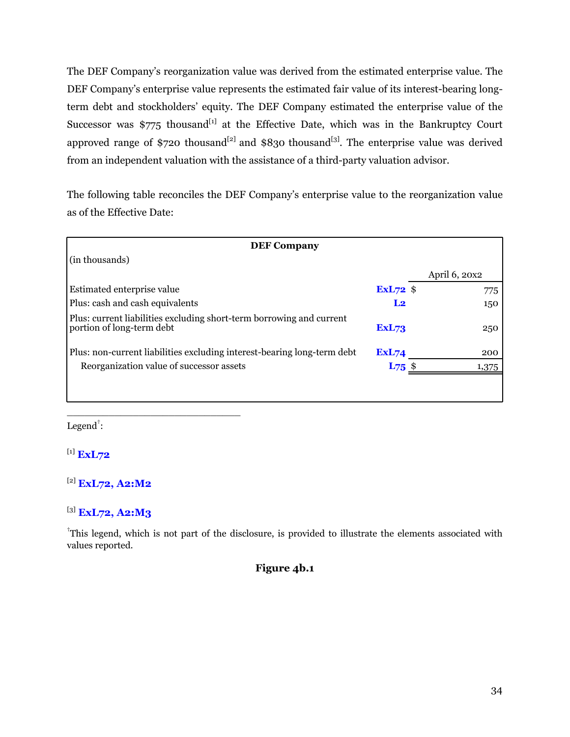The DEF Company's reorganization value was derived from the estimated enterprise value. The DEF Company's enterprise value represents the estimated fair value of its interest-bearing longterm debt and stockholders' equity. The DEF Company estimated the enterprise value of the Successor was  $\frac{5775}{1}$  thousand<sup>[1]</sup> at the Effective Date, which was in the Bankruptcy Court approved range of \$720 thousand<sup>[2]</sup> and \$830 thousand<sup>[3]</sup>. The enterprise value was derived from an independent valuation with the assistance of a third-party valuation advisor.

The following table reconciles the DEF Company's enterprise value to the reorganization value as of the Effective Date:

| <b>DEF Company</b>                                                                                |                |               |
|---------------------------------------------------------------------------------------------------|----------------|---------------|
| (in thousands)                                                                                    |                |               |
|                                                                                                   |                | April 6, 20x2 |
| Estimated enterprise value                                                                        | $ExL72$ \$     | 775           |
| Plus: cash and cash equivalents                                                                   | L <sub>2</sub> | 150           |
| Plus: current liabilities excluding short-term borrowing and current<br>portion of long-term debt | <b>ExL73</b>   | 250           |
| Plus: non-current liabilities excluding interest-bearing long-term debt                           | <b>ExL74</b>   | 200           |
| Reorganization value of successor assets                                                          | $L_{75}$ \$    | 1,375         |
|                                                                                                   |                |               |

 $Legend^{\dagger}$ :

[1] **ExL72**

# [2] **ExL72, A2:M2**

\_\_\_\_\_\_\_\_\_\_\_\_\_\_\_\_\_\_\_\_\_\_\_\_\_\_\_\_\_

[3] **ExL72, A2:M3**

<sup>†</sup>This legend, which is not part of the disclosure, is provided to illustrate the elements associated with values reported.

# **Figure 4b.1**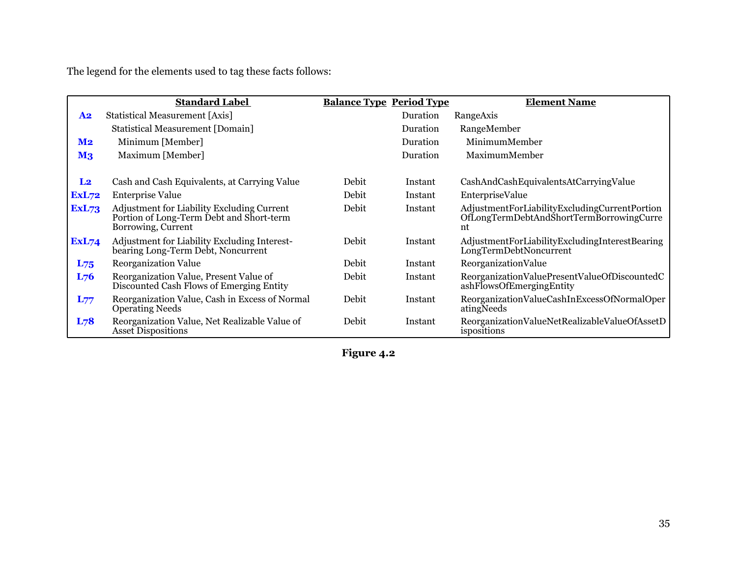The legend for the elements used to tag these facts follows:

|                | <b>Standard Label</b>                                                                                               | <b>Balance Type Period Type</b> |          | <b>Element Name</b>                                                                             |
|----------------|---------------------------------------------------------------------------------------------------------------------|---------------------------------|----------|-------------------------------------------------------------------------------------------------|
| <b>A2</b>      | Statistical Measurement [Axis]                                                                                      |                                 | Duration | RangeAxis                                                                                       |
|                | <b>Statistical Measurement [Domain]</b>                                                                             |                                 | Duration | RangeMember                                                                                     |
| M <sub>2</sub> | Minimum [Member]                                                                                                    |                                 | Duration | MinimumMember                                                                                   |
| M <sub>3</sub> | Maximum [Member]                                                                                                    |                                 | Duration | MaximumMember                                                                                   |
|                |                                                                                                                     |                                 |          |                                                                                                 |
| L <sub>2</sub> | Cash and Cash Equivalents, at Carrying Value                                                                        | Debit                           | Instant  | CashAndCashEquivalentsAtCarryingValue                                                           |
| ExL72          | <b>Enterprise Value</b>                                                                                             | Debit                           | Instant  | EnterpriseValue                                                                                 |
| <b>ExL73</b>   | <b>Adjustment for Liability Excluding Current</b><br>Portion of Long-Term Debt and Short-term<br>Borrowing, Current | Debit                           | Instant  | AdjustmentForLiabilityExcludingCurrentPortion<br>OfLongTermDebtAndShortTermBorrowingCurre<br>nt |
| ExL74          | Adjustment for Liability Excluding Interest-<br>bearing Long-Term Debt, Noncurrent                                  | Debit                           | Instant  | AdjustmentForLiabilityExcludingInterestBearing<br>LongTermDebtNoncurrent                        |
| $L_{75}$       | <b>Reorganization Value</b>                                                                                         | Debit                           | Instant  | ReorganizationValue                                                                             |
| $L_{76}$       | Reorganization Value, Present Value of<br>Discounted Cash Flows of Emerging Entity                                  | Debit                           | Instant  | ReorganizationValuePresentValueOfDiscountedC<br>ashFlowsOfEmergingEntity                        |
| $L_{77}$       | Reorganization Value, Cash in Excess of Normal<br><b>Operating Needs</b>                                            | Debit                           | Instant  | ReorganizationValueCashInExcessOfNormalOper<br>atingNeeds                                       |
| L78            | Reorganization Value, Net Realizable Value of<br><b>Asset Dispositions</b>                                          | Debit                           | Instant  | ReorganizationValueNetRealizableValueOfAssetD<br>ispositions                                    |

**Figure 4.2**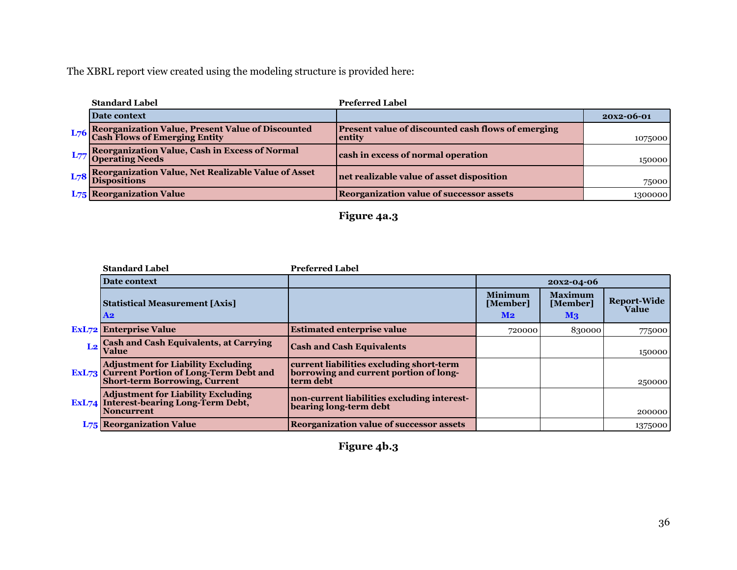| <b>Standard Label</b>                                                                  | <b>Preferred Label</b>                                       |            |
|----------------------------------------------------------------------------------------|--------------------------------------------------------------|------------|
| Date context                                                                           |                                                              | 20x2-06-01 |
| L76 Reorganization Value, Present Value of Discounted<br>Cash Flows of Emerging Entity | Present value of discounted cash flows of emerging<br>entity | 1075000    |
| L77 Reorganization Value, Cash in Excess of Normal                                     | cash in excess of normal operation                           | 150000     |
| L78 Reorganization Value, Net Realizable Value of Asset<br>Dispositions                | net realizable value of asset disposition                    | 75000      |
| <b>L75</b> Reorganization Value                                                        | <b>Reorganization value of successor assets</b>              | 1300000    |

# **Figure 4a.3**

| <b>Standard Label</b>                                                                                                                   | <b>Preferred Label</b>                                                                          |                                              |                                              |                             |
|-----------------------------------------------------------------------------------------------------------------------------------------|-------------------------------------------------------------------------------------------------|----------------------------------------------|----------------------------------------------|-----------------------------|
| Date context                                                                                                                            |                                                                                                 |                                              | 20x2-04-06                                   |                             |
| Statistical Measurement [Axis]<br>$\bf{A2}$                                                                                             |                                                                                                 | <b>Minimum</b><br>[Member]<br>M <sub>2</sub> | <b>Maximum</b><br>[Member]<br>$\mathbf{M}$ 3 | <b>Report-Wide</b><br>Value |
| <b>ExL72</b> Enterprise Value                                                                                                           | <b>Estimated enterprise value</b>                                                               | 720000                                       | 830000                                       | 775000                      |
| L2 Cash and Cash Equivalents, at Carrying                                                                                               | <b>Cash and Cash Equivalents</b>                                                                |                                              |                                              | 150000                      |
| <b>Adjustment for Liability Excluding</b><br><b>ExL73</b> Current Portion of Long-Term Debt and<br><b>Short-term Borrowing, Current</b> | current liabilities excluding short-term<br>borrowing and current portion of long-<br>term debt |                                              |                                              | 250000                      |
| <b>Adjustment for Liability Excluding</b><br>ExL74 Interest-bearing Long-Term Debt,<br><b>Noncurrent</b>                                | non-current liabilities excluding interest-<br>bearing long-term debt                           |                                              |                                              | 200000                      |
| <b>L75 Reorganization Value</b>                                                                                                         | <b>Reorganization value of successor assets</b>                                                 |                                              |                                              | 1375000                     |

# **Figure 4b.3**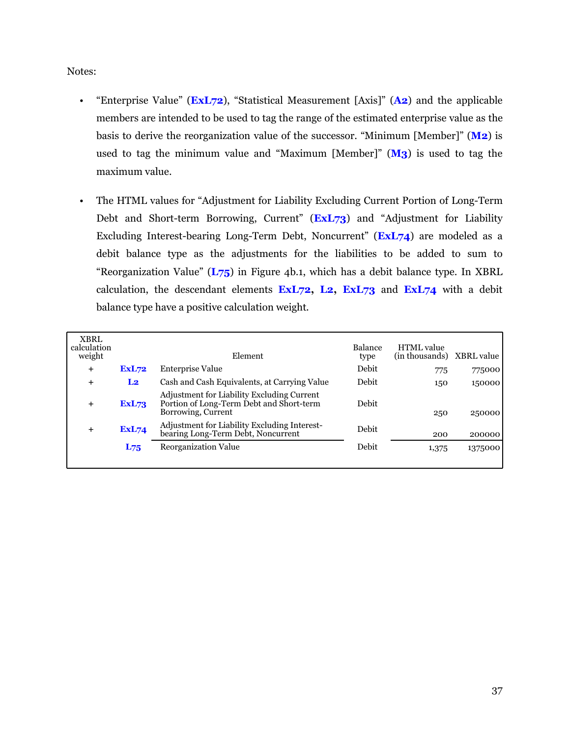Notes:

- "Enterprise Value" (**ExL72**), "Statistical Measurement [Axis]" (**A2**) and the applicable members are intended to be used to tag the range of the estimated enterprise value as the basis to derive the reorganization value of the successor. "Minimum [Member]" (**M2**) is used to tag the minimum value and "Maximum [Member]" (**M3**) is used to tag the maximum value.
- The HTML values for "Adjustment for Liability Excluding Current Portion of Long-Term Debt and Short-term Borrowing, Current" (**ExL73**) and "Adjustment for Liability Excluding Interest-bearing Long-Term Debt, Noncurrent" (**ExL74**) are modeled as a debit balance type as the adjustments for the liabilities to be added to sum to "Reorganization Value" (**L75**) in Figure 4b.1, which has a debit balance type. In XBRL calculation, the descendant elements **ExL72, L2, ExL73** and **ExL74** with a debit balance type have a positive calculation weight.

| <b>XBRL</b><br>calculation<br>weight |                | Element                                                                                                      | <b>Balance</b><br>type | <b>HTML</b> value<br>(in thousands) | XBRL value |
|--------------------------------------|----------------|--------------------------------------------------------------------------------------------------------------|------------------------|-------------------------------------|------------|
| $\ddot{}$                            | <b>ExL72</b>   | <b>Enterprise Value</b>                                                                                      | Debit                  | 775                                 | 775000     |
| $\pm$                                | L <sub>2</sub> | Cash and Cash Equivalents, at Carrying Value                                                                 | Debit                  | 150                                 | 150000     |
| $+$                                  | <b>ExL73</b>   | Adjustment for Liability Excluding Current<br>Portion of Long-Term Debt and Short-term<br>Borrowing, Current | Debit                  | 250                                 | 250000     |
| $+$                                  | <b>ExL74</b>   | Adjustment for Liability Excluding Interest-<br>bearing Long-Term Debt, Noncurrent                           | Debit                  | 200                                 | 200000     |
|                                      | $L_{75}$       | <b>Reorganization Value</b>                                                                                  | Debit                  | 1,375                               | 1375000    |
|                                      |                |                                                                                                              |                        |                                     |            |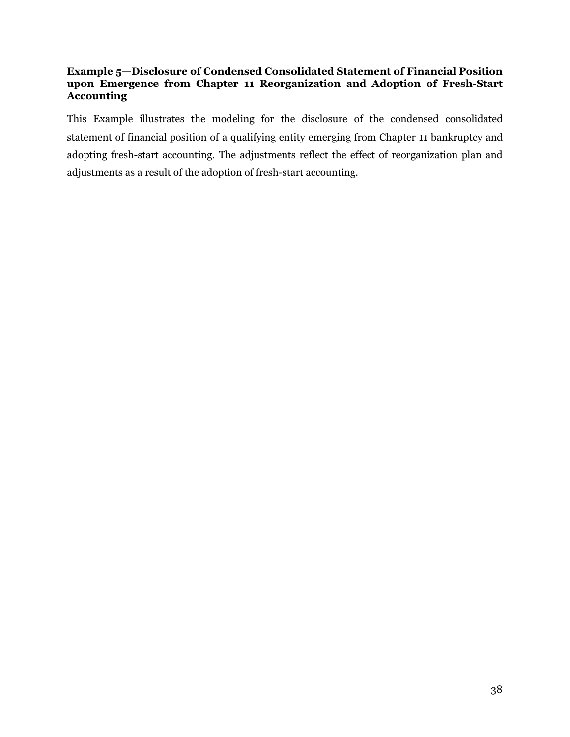# <span id="page-39-0"></span>**Example 5—Disclosure of Condensed Consolidated Statement of Financial Position upon Emergence from Chapter 11 Reorganization and Adoption of Fresh-Start Accounting**

This Example illustrates the modeling for the disclosure of the condensed consolidated statement of financial position of a qualifying entity emerging from Chapter 11 bankruptcy and adopting fresh-start accounting. The adjustments reflect the effect of reorganization plan and adjustments as a result of the adoption of fresh-start accounting.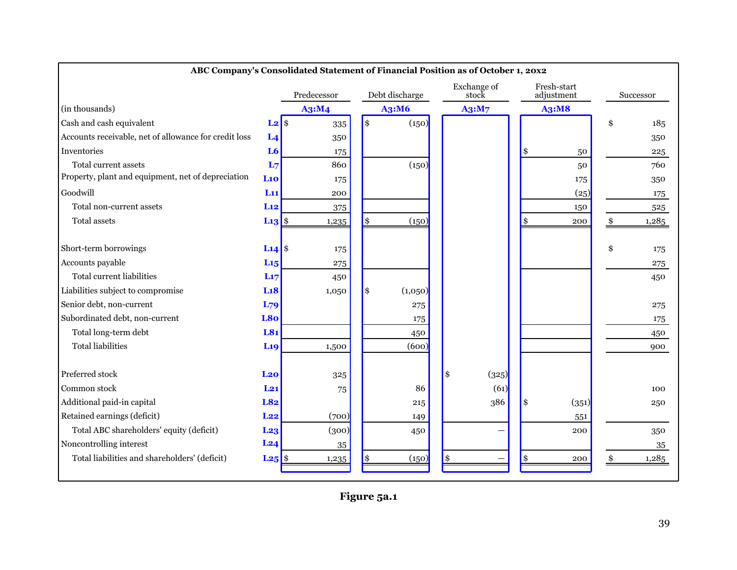|                                                       |                       | consonaated statement of 1 maneial I osition as of october 1,<br>Predecessor |             | Debt discharge |    | Exchange of<br>stock | Fresh-start<br>adjustment | Successor   |
|-------------------------------------------------------|-----------------------|------------------------------------------------------------------------------|-------------|----------------|----|----------------------|---------------------------|-------------|
| (in thousands)                                        |                       | A3:M4                                                                        |             | A3:M6          |    | A3:M7                | A3:M8                     |             |
| Cash and cash equivalent                              | $L2$ \$               | 335                                                                          | \$          | (150)          |    |                      |                           | \$<br>185   |
| Accounts receivable, net of allowance for credit loss | L <sub>4</sub>        | 350                                                                          |             |                |    |                      |                           | 350         |
| Inventories                                           | L <sub>6</sub>        | 175                                                                          |             |                |    |                      | \$<br>50                  | 225         |
| Total current assets                                  | L <sub>7</sub>        | 860                                                                          |             | (150)          |    |                      | 50                        | 760         |
| Property, plant and equipment, net of depreciation    | Li <sub>0</sub>       | 175                                                                          |             |                |    |                      | 175                       | 350         |
| Goodwill                                              | L11                   | 200                                                                          |             |                |    |                      | (25)                      | 175         |
| Total non-current assets                              | L12                   | 375                                                                          |             |                |    |                      | 150                       | 525         |
| Total assets                                          | $L_13$ \$             | 1,235                                                                        | $\vert \$\$ | (150)          |    |                      | \$<br>200                 | 1,285       |
|                                                       |                       |                                                                              |             |                |    |                      |                           |             |
| Short-term borrowings                                 | $L14$ \$              | 175                                                                          |             |                |    |                      |                           | \$<br>175   |
| Accounts payable                                      | L <sub>15</sub>       | $275\,$                                                                      |             |                |    |                      |                           | 275         |
| <b>Total current liabilities</b>                      | L17                   | 450                                                                          |             |                |    |                      |                           | 450         |
| Liabilities subject to compromise                     | L18                   | 1,050                                                                        | \$          | (1,050)        |    |                      |                           |             |
| Senior debt, non-current                              | L79                   |                                                                              |             | 275            |    |                      |                           | 275         |
| Subordinated debt, non-current                        | L8o                   |                                                                              |             | 175            |    |                      |                           | 175         |
| Total long-term debt                                  | L81                   |                                                                              |             | 450            |    |                      |                           | 450         |
| <b>Total liabilities</b>                              | <b>L<sub>19</sub></b> | 1,500                                                                        |             | (600)          |    |                      |                           | 900         |
|                                                       |                       |                                                                              |             |                |    |                      |                           |             |
| Preferred stock                                       | L <sub>20</sub>       | 325                                                                          |             |                | \$ | (325)                |                           |             |
| Common stock                                          | $L_{21}$              | 75                                                                           |             | 86             |    | (61)                 |                           | 100         |
| Additional paid-in capital                            | L82                   |                                                                              |             | 215            |    | 386                  | \$<br>(351)               | 250         |
| Retained earnings (deficit)                           | L22                   | (700)                                                                        |             | 149            |    |                      | 551                       |             |
| Total ABC shareholders' equity (deficit)              | L <sub>23</sub>       | (300)                                                                        |             | 450            |    |                      | 200                       | 350         |
| Noncontrolling interest                               | L24                   | 35                                                                           |             |                |    |                      |                           | 35          |
| Total liabilities and shareholders' (deficit)         | $L_{25}$ \$           | 1,235                                                                        | \$          | (150)          | \$ |                      | \$<br>200                 | \$<br>1,285 |
|                                                       |                       |                                                                              |             |                |    |                      |                           |             |

#### **ABC Company's Consolidated Statement of Financial Position as of October 1, 20x2**

**Figure 5a.1**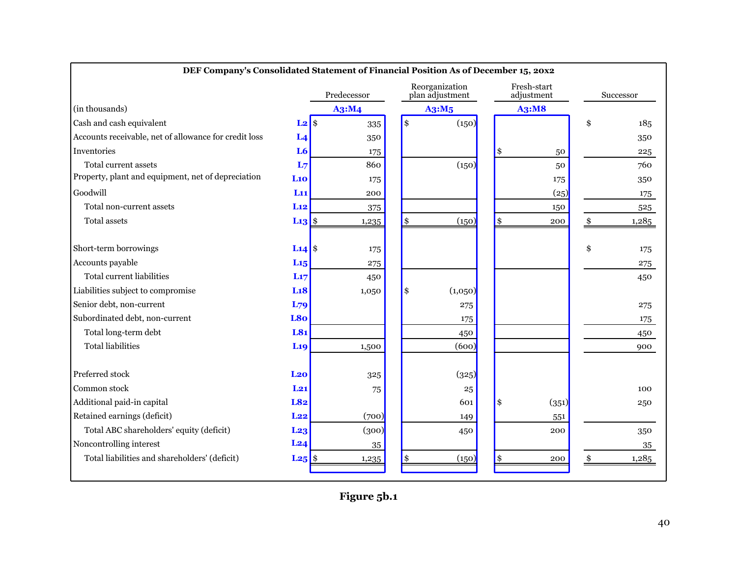|                                                       |                     | Predecessor |    | Reorganization<br>plan adjustment |                     | Fresh-start<br>adjustment | Successor    |
|-------------------------------------------------------|---------------------|-------------|----|-----------------------------------|---------------------|---------------------------|--------------|
| (in thousands)                                        |                     | A3:M4       |    | A3:M5                             |                     | <b>A3:M8</b>              |              |
| Cash and cash equivalent                              | $L2$ \$             | 335         | \$ | (150)                             |                     |                           | \$<br>185    |
| Accounts receivable, net of allowance for credit loss | L <sub>4</sub>      | 350         |    |                                   |                     |                           | 350          |
| Inventories                                           | L <sub>6</sub>      | 175         |    |                                   | $\vert$ \$          | 50                        | 225          |
| Total current assets                                  | L <sub>7</sub>      | 860         |    | (150)                             |                     | 50                        | 760          |
| Property, plant and equipment, net of depreciation    | L10                 | 175         |    |                                   |                     | 175                       | 350          |
| Goodwill                                              | L <sub>11</sub>     | 200         |    |                                   |                     | (25)                      | 175          |
| Total non-current assets                              | L12                 | 375         |    |                                   |                     | 150                       | 525          |
| <b>Total assets</b>                                   | $L13 $ \$           | 1,235       | \$ | (150)                             | $\vert \mathbf{\$}$ | 200                       | \$<br>1,285  |
| Short-term borrowings                                 | L <sub>14</sub> $\$ | 175         |    |                                   |                     |                           | \$<br>175    |
| Accounts payable                                      | L <sub>15</sub>     | 275         |    |                                   |                     |                           | $\sqrt{275}$ |
| Total current liabilities                             | L17                 | 450         |    |                                   |                     |                           | 450          |
| Liabilities subject to compromise                     | L18                 | 1,050       | \$ | (1,050)                           |                     |                           |              |
| Senior debt, non-current                              | L79                 |             |    | 275                               |                     |                           | 275          |
| Subordinated debt, non-current                        | L80                 |             |    | 175                               |                     |                           | 175          |
| Total long-term debt                                  | L81                 |             |    | 450                               |                     |                           | 450          |
| <b>Total liabilities</b>                              | <b>L19</b>          | 1,500       |    | (600)                             |                     |                           | 900          |
| Preferred stock                                       | L <sub>20</sub>     | 325         |    | (325)                             |                     |                           |              |
| Common stock                                          | $L_{21}$            | 75          |    | 25                                |                     |                           | 100          |
| Additional paid-in capital                            | L82                 |             |    | 601                               | \$                  | (351)                     | 250          |
| Retained earnings (deficit)                           | L22                 | (700)       |    | 149                               |                     | 551                       |              |
| Total ABC shareholders' equity (deficit)              | L <sub>23</sub>     | (300)       |    | 450                               |                     | 200                       | 350          |
| Noncontrolling interest                               | L24                 | 35          |    |                                   |                     |                           | 35           |
| Total liabilities and shareholders' (deficit)         | $L25$ \$            | 1,235       | \$ | (150)                             | $\vert$ \$          | 200                       | \$<br>1,285  |

#### **DEF Company's Consolidated Statement of Financial Position As of December 15, 20x2**

 $\overline{1}$ 

**Figure 5b.1**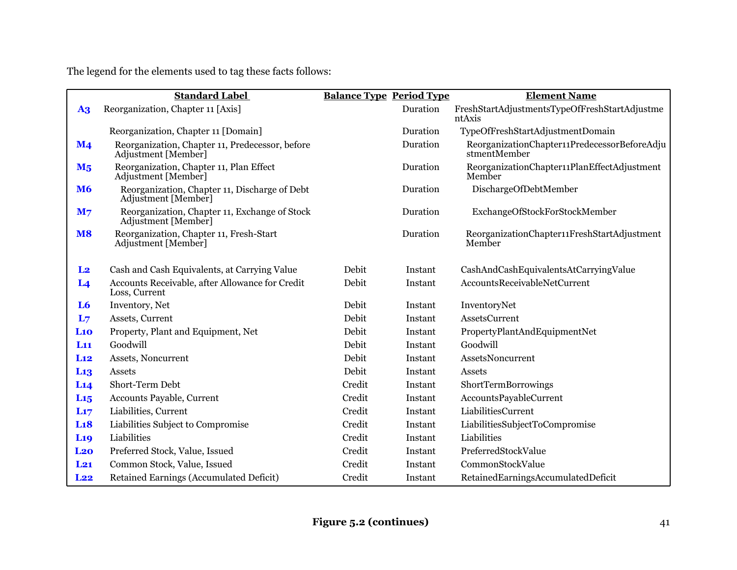The legend for the elements used to tag these facts follows:

|                 | <b>Standard Label</b>                                                  | <b>Balance Type Period Type</b> |          | <b>Element Name</b>                                          |
|-----------------|------------------------------------------------------------------------|---------------------------------|----------|--------------------------------------------------------------|
| A <sub>3</sub>  | Reorganization, Chapter 11 [Axis]                                      |                                 | Duration | FreshStartAdjustmentsTypeOfFreshStartAdjustme<br>ntAxis      |
|                 | Reorganization, Chapter 11 [Domain]                                    |                                 | Duration | TypeOfFreshStartAdjustmentDomain                             |
| $\mathbf{M}$ 4  | Reorganization, Chapter 11, Predecessor, before<br>Adjustment [Member] |                                 | Duration | ReorganizationChapter11PredecessorBeforeAdju<br>stmentMember |
| M <sub>5</sub>  | Reorganization, Chapter 11, Plan Effect<br>Adjustment [Member]         |                                 | Duration | ReorganizationChapter11PlanEffectAdjustment<br>Member        |
| <b>M6</b>       | Reorganization, Chapter 11, Discharge of Debt<br>Adjustment [Member]   |                                 | Duration | DischargeOfDebtMember                                        |
| M <sub>7</sub>  | Reorganization, Chapter 11, Exchange of Stock<br>Adjustment [Member]   |                                 | Duration | ExchangeOfStockForStockMember                                |
| <b>M8</b>       | Reorganization, Chapter 11, Fresh-Start<br>Adjustment [Member]         |                                 | Duration | ReorganizationChapter11FreshStartAdjustment<br>Member        |
| L <sub>2</sub>  | Cash and Cash Equivalents, at Carrying Value                           | Debit                           | Instant  | CashAndCashEquivalentsAtCarryingValue                        |
| L <sub>4</sub>  | Accounts Receivable, after Allowance for Credit<br>Loss, Current       | Debit                           | Instant  | AccountsReceivableNetCurrent                                 |
| L <sub>6</sub>  | Inventory, Net                                                         | Debit                           | Instant  | InventoryNet                                                 |
| L <sub>7</sub>  | Assets, Current                                                        | Debit                           | Instant  | AssetsCurrent                                                |
| L10             | Property, Plant and Equipment, Net                                     | Debit                           | Instant  | PropertyPlantAndEquipmentNet                                 |
| L11             | Goodwill                                                               | Debit                           | Instant  | Goodwill                                                     |
| L12             | Assets, Noncurrent                                                     | Debit                           | Instant  | AssetsNoncurrent                                             |
| L <sub>13</sub> | Assets                                                                 | Debit                           | Instant  | Assets                                                       |
| L14             | Short-Term Debt                                                        | Credit                          | Instant  | ShortTermBorrowings                                          |
| L15             | <b>Accounts Payable, Current</b>                                       | Credit                          | Instant  | AccountsPayableCurrent                                       |
| L17             | Liabilities, Current                                                   | Credit                          | Instant  | LiabilitiesCurrent                                           |
| L18             | Liabilities Subject to Compromise                                      | Credit                          | Instant  | LiabilitiesSubjectToCompromise                               |
| <b>L19</b>      | Liabilities                                                            | Credit                          | Instant  | Liabilities                                                  |
| L <sub>20</sub> | Preferred Stock, Value, Issued                                         | Credit                          | Instant  | PreferredStockValue                                          |
| $L_{21}$        | Common Stock, Value, Issued                                            | Credit                          | Instant  | CommonStockValue                                             |
| L22             | Retained Earnings (Accumulated Deficit)                                | Credit                          | Instant  | RetainedEarningsAccumulatedDeficit                           |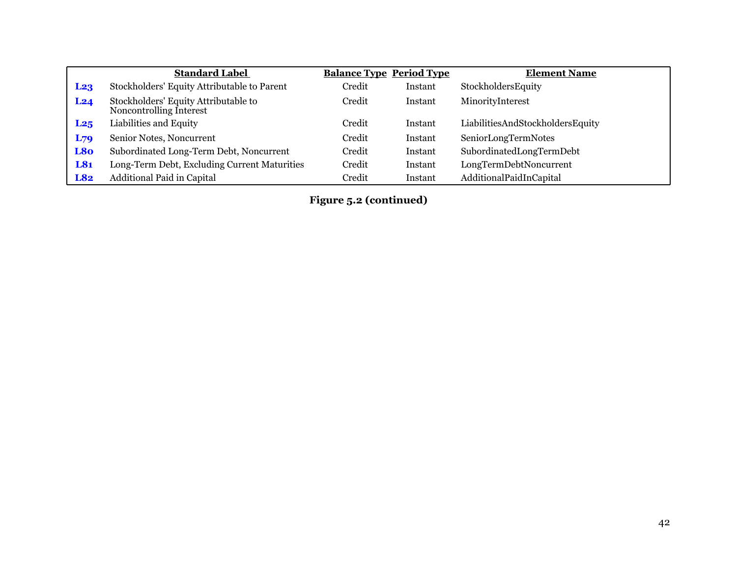|                 | <b>Standard Label</b>                                           | <b>Balance Type Period Type</b> |         | <b>Element Name</b>              |
|-----------------|-----------------------------------------------------------------|---------------------------------|---------|----------------------------------|
| L <sub>23</sub> | Stockholders' Equity Attributable to Parent                     | Credit                          | Instant | StockholdersEquity               |
| L24             | Stockholders' Equity Attributable to<br>Noncontrolling Interest | Credit                          | Instant | MinorityInterest                 |
| L25             | Liabilities and Equity                                          | Credit                          | Instant | LiabilitiesAndStockholdersEquity |
| $L_{79}$        | Senior Notes, Noncurrent                                        | Credit                          | Instant | SeniorLongTermNotes              |
| L8o             | Subordinated Long-Term Debt, Noncurrent                         | Credit                          | Instant | SubordinatedLongTermDebt         |
| L81             | Long-Term Debt, Excluding Current Maturities                    | Credit                          | Instant | LongTermDebtNoncurrent           |
| L82             | Additional Paid in Capital                                      | Credit                          | Instant | AdditionalPaidInCapital          |

**Figure 5.2 (continued)**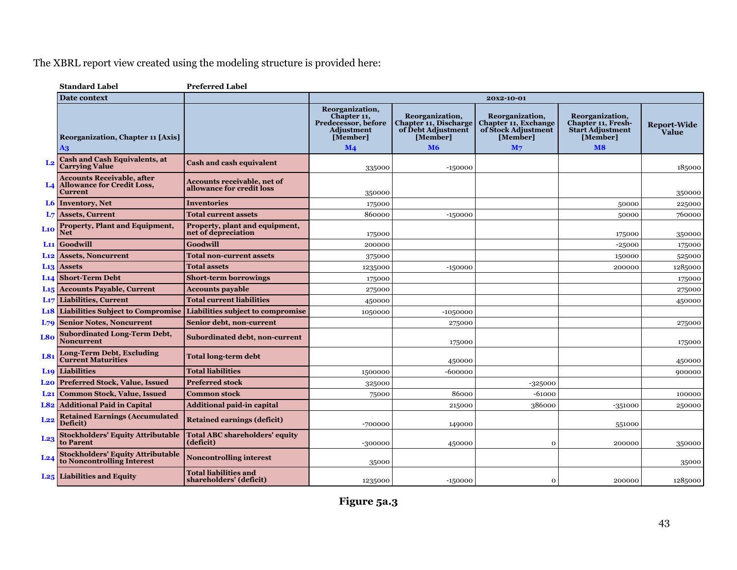|                 | <b>Standard Label</b>                                                                       | <b>Preferred Label</b>                                          |                                                                                 |                                                                            |                                                                            |                                                                                     |                             |
|-----------------|---------------------------------------------------------------------------------------------|-----------------------------------------------------------------|---------------------------------------------------------------------------------|----------------------------------------------------------------------------|----------------------------------------------------------------------------|-------------------------------------------------------------------------------------|-----------------------------|
|                 | Date context                                                                                |                                                                 |                                                                                 |                                                                            | 20x2-10-01                                                                 |                                                                                     |                             |
|                 | Reorganization, Chapter 11 [Axis]                                                           |                                                                 | Reorganization,<br>Chapter 11,<br>Predecessor, before<br>Adjustment<br>[Member] | Reorganization,<br>Chapter 11, Discharge<br>of Debt Adjustment<br>[Member] | Reorganization,<br>Chapter 11, Exchange<br>of Stock Adjustment<br>[Member] | Reorganization,<br><b>Chapter 11, Fresh-</b><br><b>Start Adjustment</b><br>[Member] | <b>Report-Wide</b><br>Value |
|                 | A3                                                                                          |                                                                 | $\mathbf{M}$ 4                                                                  | <b>M6</b>                                                                  | M <sub>7</sub>                                                             | M8                                                                                  |                             |
|                 | <b>Cash and Cash Equivalents, at</b><br><b>Carrying Value</b>                               | <b>Cash and cash equivalent</b>                                 | 335000                                                                          | $-150000$                                                                  |                                                                            |                                                                                     | 185000                      |
|                 | <b>Accounts Receivable, after</b><br><b>L4</b> Allowance for Credit Loss,<br><b>Current</b> | <b>Accounts receivable, net of</b><br>allowance for credit loss | 350000                                                                          |                                                                            |                                                                            |                                                                                     | 350000                      |
|                 | L6 Inventory, Net                                                                           | <b>Inventories</b>                                              | 175000                                                                          |                                                                            |                                                                            | 50000                                                                               | 225000                      |
|                 | L7 Assets, Current                                                                          | <b>Total current assets</b>                                     | 860000                                                                          | $-150000$                                                                  |                                                                            | 50000                                                                               | 760000                      |
| L10             | <b>Property, Plant and Equipment,</b><br><b>Net</b>                                         | Property, plant and equipment,<br>net of depreciation           | 175000                                                                          |                                                                            |                                                                            | 175000                                                                              | 350000                      |
|                 | $L11$ Goodwill                                                                              | Goodwill                                                        | 200000                                                                          |                                                                            |                                                                            | $-25000$                                                                            | 175000                      |
|                 | <b>L12 Assets, Noncurrent</b>                                                               | <b>Total non-current assets</b>                                 | 375000                                                                          |                                                                            |                                                                            | 150000                                                                              | 525000                      |
|                 | L <sub>13</sub> Assets                                                                      | <b>Total assets</b>                                             | 1235000                                                                         | $-150000$                                                                  |                                                                            | 200000                                                                              | 1285000                     |
|                 | <b>L14 Short-Term Debt</b>                                                                  | <b>Short-term borrowings</b>                                    | 175000                                                                          |                                                                            |                                                                            |                                                                                     | 175000                      |
|                 | L <sub>15</sub> Accounts Payable, Current                                                   | <b>Accounts payable</b>                                         | 275000                                                                          |                                                                            |                                                                            |                                                                                     | 275000                      |
|                 | L <sub>17</sub> Liabilities, Current                                                        | <b>Total current liabilities</b>                                | 450000                                                                          |                                                                            |                                                                            |                                                                                     | 450000                      |
|                 | <b>Likely</b> Liabilities Subject to Compromise                                             | Liabilities subject to compromise                               | 1050000                                                                         | $-10,50000$                                                                |                                                                            |                                                                                     |                             |
|                 | <b>L79 Senior Notes, Noncurrent</b>                                                         | Senior debt, non-current                                        |                                                                                 | 275000                                                                     |                                                                            |                                                                                     | 275000                      |
| L80             | <b>Subordinated Long-Term Debt,</b><br><b>Noncurrent</b>                                    | Subordinated debt, non-current                                  |                                                                                 | 175000                                                                     |                                                                            |                                                                                     | 175000                      |
| L81             | <b>Long-Term Debt, Excluding</b><br><b>Current Maturities</b>                               | <b>Total long-term debt</b>                                     |                                                                                 | 450000                                                                     |                                                                            |                                                                                     | 450000                      |
|                 | <b>L19</b> Liabilities                                                                      | <b>Total liabilities</b>                                        | 1500000                                                                         | $-600000$                                                                  |                                                                            |                                                                                     | 900000                      |
|                 | <b>L20</b> Preferred Stock, Value, Issued                                                   | <b>Preferred stock</b>                                          | 325000                                                                          |                                                                            | $-325000$                                                                  |                                                                                     |                             |
|                 | <b>L21</b> Common Stock, Value, Issued                                                      | <b>Common stock</b>                                             | 75000                                                                           | 86000                                                                      | $-61000$                                                                   |                                                                                     | 100000                      |
|                 | L82 Additional Paid in Capital                                                              | <b>Additional paid-in capital</b>                               |                                                                                 | 215000                                                                     | 386000                                                                     | $-351000$                                                                           | 250000                      |
| L22             | <b>Retained Earnings (Accumulated</b><br>Deficit)                                           | <b>Retained earnings (deficit)</b>                              | -700000                                                                         | 149000                                                                     |                                                                            | 551000                                                                              |                             |
| L <sub>23</sub> | <b>Stockholders' Equity Attributable</b><br>to Parent                                       | <b>Total ABC shareholders' equity</b><br>(deficit)              | -300000                                                                         | 450000                                                                     | $\Omega$                                                                   | 200000                                                                              | 350000                      |
| L <sub>24</sub> | <b>Stockholders' Equity Attributable</b><br>to Noncontrolling Interest                      | <b>Noncontrolling interest</b>                                  | 35000                                                                           |                                                                            |                                                                            |                                                                                     | 35000                       |
|                 | <b>L25</b> Liabilities and Equity                                                           | <b>Total liabilities and</b><br>shareholders' (deficit)         | 1235000                                                                         | $-150000$                                                                  | $\mathbf{o}$                                                               | 200000                                                                              | 1285000                     |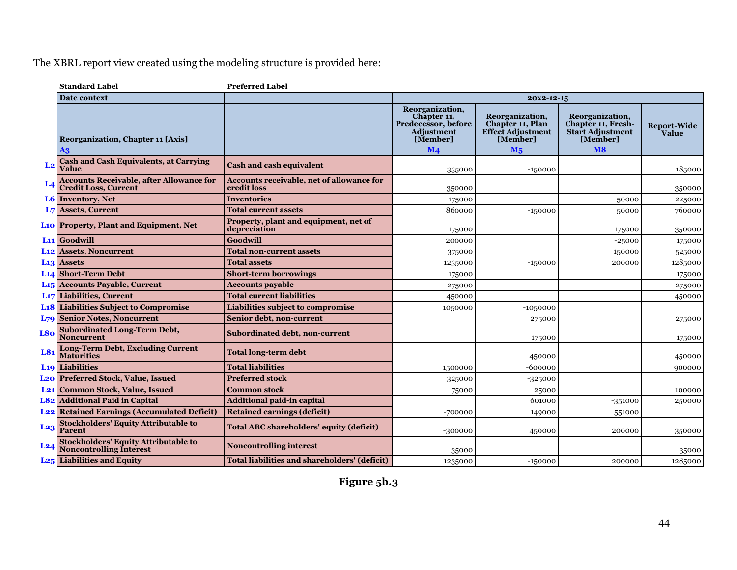|                 | <b>Standard Label</b>                                                          | <b>Preferred Label</b>                                   |                                                                                                          |                                                                                      |                                                                                                  |                             |  |  |
|-----------------|--------------------------------------------------------------------------------|----------------------------------------------------------|----------------------------------------------------------------------------------------------------------|--------------------------------------------------------------------------------------|--------------------------------------------------------------------------------------------------|-----------------------------|--|--|
|                 | <b>Date context</b>                                                            |                                                          | 20x2-12-15                                                                                               |                                                                                      |                                                                                                  |                             |  |  |
|                 | <b>Reorganization, Chapter 11 [Axis]</b><br>A3                                 |                                                          | Reorganization,<br>Chapter 11,<br>Predecessor, before<br><b>Adjustment</b><br>[Member]<br>M <sub>4</sub> | Reorganization,<br>Chapter 11, Plan<br><b>Effect Adjustment</b><br>[Member]<br>$M_5$ | Reorganization,<br><b>Chapter 11, Fresh-</b><br><b>Start Adjustment</b><br>[Member]<br><b>M8</b> | <b>Report-Wide</b><br>Value |  |  |
| L <sub>2</sub>  | <b>Cash and Cash Equivalents, at Carrying</b><br>Value                         | <b>Cash and cash equivalent</b>                          | 335000                                                                                                   | $-150000$                                                                            |                                                                                                  | 185000                      |  |  |
|                 | <b>Accounts Receivable, after Allowance for</b><br><b>Credit Loss, Current</b> | Accounts receivable, net of allowance for<br>credit loss | 350000                                                                                                   |                                                                                      |                                                                                                  | 350000                      |  |  |
|                 | <b>L6</b> Inventory, Net                                                       | <b>Inventories</b>                                       | 175000                                                                                                   |                                                                                      | 50000                                                                                            | 225000                      |  |  |
|                 | <b>L7</b> Assets, Current                                                      | <b>Total current assets</b>                              | 860000                                                                                                   | $-150000$                                                                            | 50000                                                                                            | 760000                      |  |  |
|                 | <b>Lio Property, Plant and Equipment, Net</b>                                  | Property, plant and equipment, net of<br>depreciation    | 175000                                                                                                   |                                                                                      | 175000                                                                                           | 350000                      |  |  |
|                 | L <sub>11</sub> Goodwill                                                       | Goodwill                                                 | 200000                                                                                                   |                                                                                      | $-25000$                                                                                         | 175000                      |  |  |
|                 | <b>L12</b> Assets, Noncurrent                                                  | <b>Total non-current assets</b>                          | 375000                                                                                                   |                                                                                      | 150000                                                                                           | 525000                      |  |  |
|                 | L <sub>13</sub> Assets                                                         | <b>Total assets</b>                                      | 1235000                                                                                                  | $-150000$                                                                            | 200000                                                                                           | 1285000                     |  |  |
|                 | L <sub>14</sub> Short-Term Debt                                                | <b>Short-term borrowings</b>                             | 175000                                                                                                   |                                                                                      |                                                                                                  | 175000                      |  |  |
|                 | L <sub>15</sub> Accounts Payable, Current                                      | <b>Accounts payable</b>                                  | 275000                                                                                                   |                                                                                      |                                                                                                  | 275000                      |  |  |
|                 | <b>L<sub>17</sub></b> Liabilities, Current                                     | <b>Total current liabilities</b>                         | 450000                                                                                                   |                                                                                      |                                                                                                  | 450000                      |  |  |
|                 | <b>L18 Liabilities Subject to Compromise</b>                                   | <b>Liabilities subject to compromise</b>                 | 1050000                                                                                                  | $-10,50000$                                                                          |                                                                                                  |                             |  |  |
|                 | <b>L79 Senior Notes, Noncurrent</b>                                            | Senior debt, non-current                                 |                                                                                                          | 275000                                                                               |                                                                                                  | 275000                      |  |  |
| L80             | <b>Subordinated Long-Term Debt,</b><br><b>Noncurrent</b>                       | <b>Subordinated debt, non-current</b>                    |                                                                                                          | 175000                                                                               |                                                                                                  | 175000                      |  |  |
| L8 <sub>1</sub> | <b>Long-Term Debt, Excluding Current</b><br><b>Maturities</b>                  | <b>Total long-term debt</b>                              |                                                                                                          | 450000                                                                               |                                                                                                  | 450000                      |  |  |
|                 | <b>L19</b> Liabilities                                                         | <b>Total liabilities</b>                                 | 1500000                                                                                                  | -600000                                                                              |                                                                                                  | 900000                      |  |  |
|                 | <b>L20 Preferred Stock, Value, Issued</b>                                      | <b>Preferred stock</b>                                   | 325000                                                                                                   | $-325000$                                                                            |                                                                                                  |                             |  |  |
|                 | <b>L21</b> Common Stock, Value, Issued                                         | <b>Common stock</b>                                      | 75000                                                                                                    | 25000                                                                                |                                                                                                  | 100000                      |  |  |
|                 | L82 Additional Paid in Capital                                                 | <b>Additional paid-in capital</b>                        |                                                                                                          | 601000                                                                               | $-351000$                                                                                        | 250000                      |  |  |
|                 | <b>L22</b> Retained Earnings (Accumulated Deficit)                             | <b>Retained earnings (deficit)</b>                       | -700000                                                                                                  | 149000                                                                               | 551000                                                                                           |                             |  |  |
| L <sub>23</sub> | <b>Stockholders' Equity Attributable to</b><br><b>Parent</b>                   | <b>Total ABC shareholders' equity (deficit)</b>          | -300000                                                                                                  | 450000                                                                               | 200000                                                                                           | 350000                      |  |  |
| L24             | Stockholders' Equity Attributable to<br>Noncontrolling Interest                | <b>Noncontrolling interest</b>                           | 35000                                                                                                    |                                                                                      |                                                                                                  | 35000                       |  |  |
|                 | <b>L25</b> Liabilities and Equity                                              | <b>Total liabilities and shareholders' (deficit)</b>     | 1235000                                                                                                  | $-150000$                                                                            | 200000                                                                                           | 1285000                     |  |  |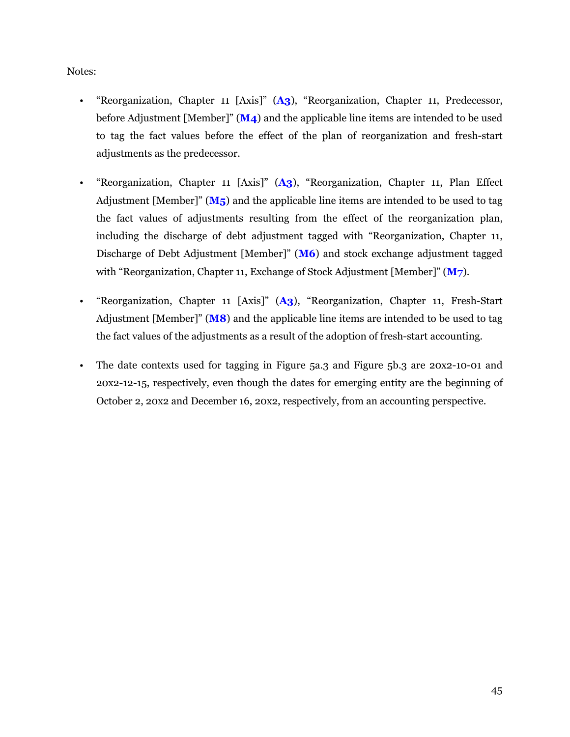<span id="page-46-0"></span>Notes:

- "Reorganization, Chapter 11 [Axis]" (**A3**), "Reorganization, Chapter 11, Predecessor, before Adjustment [Member]" (**M4**) and the applicable line items are intended to be used to tag the fact values before the effect of the plan of reorganization and fresh-start adjustments as the predecessor.
- "Reorganization, Chapter 11 [Axis]" (**A3**), "Reorganization, Chapter 11, Plan Effect Adjustment [Member]" (**M5**) and the applicable line items are intended to be used to tag the fact values of adjustments resulting from the effect of the reorganization plan, including the discharge of debt adjustment tagged with "Reorganization, Chapter 11, Discharge of Debt Adjustment [Member]" (**M6**) and stock exchange adjustment tagged with "Reorganization, Chapter 11, Exchange of Stock Adjustment [Member]" (**M7**).
- "Reorganization, Chapter 11 [Axis]" (**A3**), "Reorganization, Chapter 11, Fresh-Start Adjustment [Member]" (**M8**) and the applicable line items are intended to be used to tag the fact values of the adjustments as a result of the adoption of fresh-start accounting.
- The date contexts used for tagging in Figure 5a.3 and Figure 5b.3 are 20x2-10-01 and 20x2-12-15, respectively, even though the dates for emerging entity are the beginning of October 2, 20x2 and December 16, 20x2, respectively, from an accounting perspective.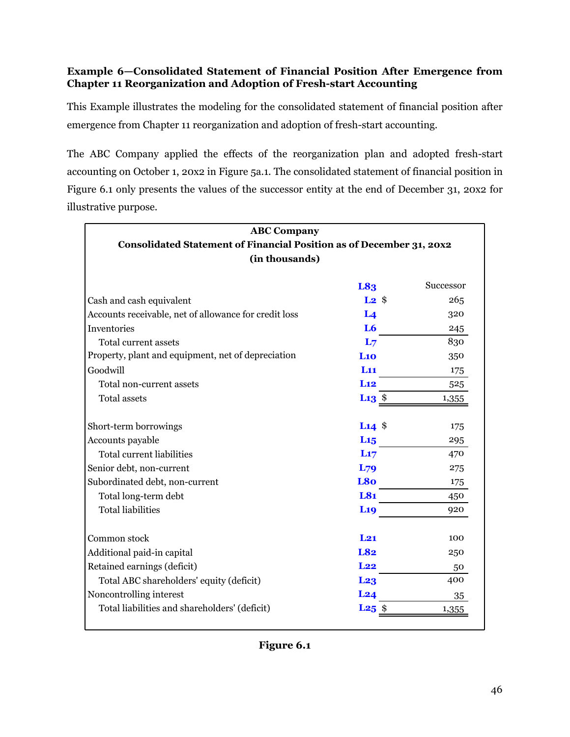# **Example 6—Consolidated Statement of Financial Position After Emergence from Chapter 11 Reorganization and Adoption of Fresh-start Accounting**

This Example illustrates the modeling for the consolidated statement of financial position after emergence from Chapter 11 reorganization and adoption of fresh-start accounting.

The ABC Company applied the effects of the reorganization plan and adopted fresh-start accounting on October 1, 20x2 in Figure 5a.1. The consolidated statement of financial position in Figure 6.1 only presents the values of the successor entity at the end of December 31, 20x2 for illustrative purpose.

| <b>ABC Company</b>                                                   |                               |           |  |  |  |  |
|----------------------------------------------------------------------|-------------------------------|-----------|--|--|--|--|
| Consolidated Statement of Financial Position as of December 31, 20x2 |                               |           |  |  |  |  |
| (in thousands)                                                       |                               |           |  |  |  |  |
|                                                                      | L83                           | Successor |  |  |  |  |
| Cash and cash equivalent                                             | $L2 \text{ }$ \$              | 265       |  |  |  |  |
| Accounts receivable, net of allowance for credit loss                | L <sub>4</sub>                | 320       |  |  |  |  |
| Inventories                                                          | L <sub>6</sub>                | 245       |  |  |  |  |
| Total current assets                                                 | L <sub>7</sub>                | 830       |  |  |  |  |
| Property, plant and equipment, net of depreciation                   | L10                           | 350       |  |  |  |  |
| Goodwill                                                             | L <sub>11</sub>               | 175       |  |  |  |  |
| Total non-current assets                                             | Li <sub>2</sub>               | 525       |  |  |  |  |
| <b>Total assets</b>                                                  | L <sub>13</sub> $\frac{1}{2}$ | 1,355     |  |  |  |  |
| Short-term borrowings                                                | $L14$ \$                      | 175       |  |  |  |  |
| Accounts payable                                                     | $L_{15}$                      | 295       |  |  |  |  |
| <b>Total current liabilities</b>                                     | L17                           | 470       |  |  |  |  |
| Senior debt, non-current                                             | L <sub>79</sub>               | 275       |  |  |  |  |
| Subordinated debt, non-current                                       | L80                           | 175       |  |  |  |  |
| Total long-term debt                                                 | L81                           | 450       |  |  |  |  |
| <b>Total liabilities</b>                                             | <b>L19</b>                    | 920       |  |  |  |  |
| Common stock                                                         | $L_{21}$                      | 100       |  |  |  |  |
| Additional paid-in capital                                           | <b>L82</b>                    | 250       |  |  |  |  |
| Retained earnings (deficit)                                          | L22                           | 50        |  |  |  |  |
| Total ABC shareholders' equity (deficit)                             | L <sub>23</sub>               | 400       |  |  |  |  |
| Noncontrolling interest                                              | L24                           | 35        |  |  |  |  |
| Total liabilities and shareholders' (deficit)                        | L <sub>25</sub>               | 1,355     |  |  |  |  |

**Figure 6.1**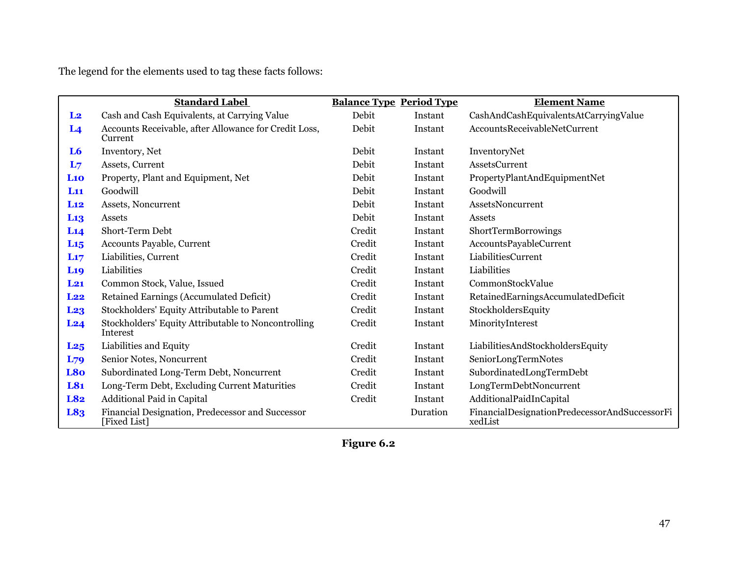The legend for the elements used to tag these facts follows:

|                 | <b>Standard Label</b>                                            | <b>Balance Type Period Type</b> |          | <b>Element Name</b>                                      |
|-----------------|------------------------------------------------------------------|---------------------------------|----------|----------------------------------------------------------|
| L <sub>2</sub>  | Cash and Cash Equivalents, at Carrying Value                     | Debit                           | Instant  | CashAndCashEquivalentsAtCarryingValue                    |
| L <sub>4</sub>  | Accounts Receivable, after Allowance for Credit Loss,<br>Current | Debit                           | Instant  | AccountsReceivableNetCurrent                             |
| L <sub>6</sub>  | Inventory, Net                                                   | Debit                           | Instant  | InventoryNet                                             |
| L <sub>7</sub>  | Assets, Current                                                  | Debit                           | Instant  | <b>AssetsCurrent</b>                                     |
| L10             | Property, Plant and Equipment, Net                               | Debit                           | Instant  | PropertyPlantAndEquipmentNet                             |
| L11             | Goodwill                                                         | Debit                           | Instant  | Goodwill                                                 |
| L12             | Assets, Noncurrent                                               | Debit                           | Instant  | AssetsNoncurrent                                         |
| L <sub>13</sub> | Assets                                                           | Debit                           | Instant  | Assets                                                   |
| L14             | Short-Term Debt                                                  | Credit                          | Instant  | ShortTermBorrowings                                      |
| L <sub>15</sub> | Accounts Payable, Current                                        | Credit                          | Instant  | AccountsPayableCurrent                                   |
| L17             | Liabilities, Current                                             | Credit                          | Instant  | LiabilitiesCurrent                                       |
| <b>L19</b>      | Liabilities                                                      | Credit                          | Instant  | Liabilities                                              |
| $L_{21}$        | Common Stock, Value, Issued                                      | Credit                          | Instant  | CommonStockValue                                         |
| L22             | Retained Earnings (Accumulated Deficit)                          | Credit                          | Instant  | RetainedEarningsAccumulatedDeficit                       |
| L <sub>23</sub> | Stockholders' Equity Attributable to Parent                      | Credit                          | Instant  | StockholdersEquity                                       |
| L <sub>24</sub> | Stockholders' Equity Attributable to Noncontrolling<br>Interest  | Credit                          | Instant  | MinorityInterest                                         |
| L <sub>25</sub> | Liabilities and Equity                                           | Credit                          | Instant  | LiabilitiesAndStockholdersEquity                         |
| $L_{79}$        | Senior Notes, Noncurrent                                         | Credit                          | Instant  | SeniorLongTermNotes                                      |
| L <sub>80</sub> | Subordinated Long-Term Debt, Noncurrent                          | Credit                          | Instant  | SubordinatedLongTermDebt                                 |
| L81             | Long-Term Debt, Excluding Current Maturities                     | Credit                          | Instant  | LongTermDebtNoncurrent                                   |
| L82             | Additional Paid in Capital                                       | Credit                          | Instant  | AdditionalPaidInCapital                                  |
| L83             | Financial Designation, Predecessor and Successor<br>[Fixed List] |                                 | Duration | FinancialDesignationPredecessorAndSuccessorFi<br>xedList |

**Figure 6.2**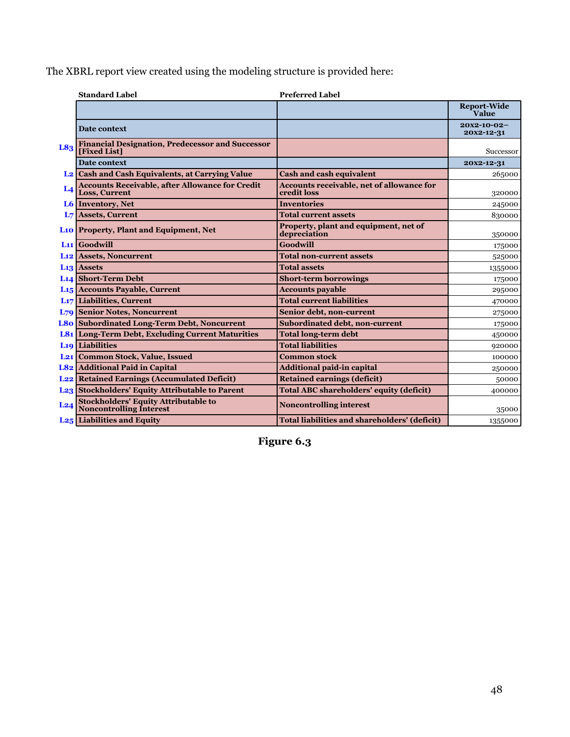|                | <b>Standard Label</b>                                                   | <b>Preferred Label</b>                                          |                                |
|----------------|-------------------------------------------------------------------------|-----------------------------------------------------------------|--------------------------------|
|                |                                                                         |                                                                 | <b>Report-Wide</b><br>Value    |
|                | Date context                                                            |                                                                 | $20x2 - 10 - 02$<br>20x2-12-31 |
| L83            | <b>Financial Designation, Predecessor and Successor</b><br>[Fixed List] |                                                                 | <b>Successor</b>               |
|                | Date context                                                            |                                                                 | 20x2-12-31                     |
|                | L <sub>2</sub> Cash and Cash Equivalents, at Carrying Value             | <b>Cash and cash equivalent</b>                                 | 265000                         |
| L <sub>4</sub> | <b>Accounts Receivable, after Allowance for Credit</b><br>Loss, Current | <b>Accounts receivable, net of allowance for</b><br>credit loss | 320000                         |
|                | L6 Inventory, Net                                                       | <b>Inventories</b>                                              | 245000                         |
| L <sub>7</sub> | <b>Assets, Current</b>                                                  | <b>Total current assets</b>                                     | 830000                         |
|                | L <sub>10</sub> Property, Plant and Equipment, Net                      | Property, plant and equipment, net of<br>depreciation           | 350000                         |
|                | L <sub>11</sub> Goodwill                                                | Goodwill                                                        | 175000                         |
|                | <b>L<sub>12</sub></b> Assets, Noncurrent                                | <b>Total non-current assets</b>                                 | 525000                         |
|                | <b>L13</b> Assets                                                       | <b>Total assets</b>                                             | 1355000                        |
|                | <b>L14 Short-Term Debt</b>                                              | <b>Short-term borrowings</b>                                    | 175000                         |
|                | L <sub>15</sub> Accounts Payable, Current                               | <b>Accounts payable</b>                                         | 295000                         |
|                | L <sub>17</sub> Liabilities, Current                                    | <b>Total current liabilities</b>                                | 470000                         |
|                | <b>L79 Senior Notes, Noncurrent</b>                                     | Senior debt, non-current                                        | 275000                         |
|                | <b>L80</b> Subordinated Long-Term Debt, Noncurrent                      | Subordinated debt, non-current                                  | 175000                         |
|                | <b>L81 Long-Term Debt, Excluding Current Maturities</b>                 | <b>Total long-term debt</b>                                     | 450000                         |
|                | <b>L<sub>19</sub></b> Liabilities                                       | <b>Total liabilities</b>                                        | 920000                         |
| $L_{21}$       | <b>Common Stock, Value, Issued</b>                                      | <b>Common stock</b>                                             | 100000                         |
|                | <b>L82</b> Additional Paid in Capital                                   | <b>Additional paid-in capital</b>                               | 250000                         |
|                | <b>L22</b> Retained Earnings (Accumulated Deficit)                      | <b>Retained earnings (deficit)</b>                              | 50000                          |
|                | <b>L23</b> Stockholders' Equity Attributable to Parent                  | <b>Total ABC shareholders' equity (deficit)</b>                 | 400000                         |
| L24            | <b>Stockholders' Equity Attributable to<br/>Noncontrolling Interest</b> | <b>Noncontrolling interest</b>                                  | 35000                          |
|                | <b>L25</b> Liabilities and Equity                                       | Total liabilities and shareholders' (deficit)                   | 1355000                        |

**Figure 6.3**